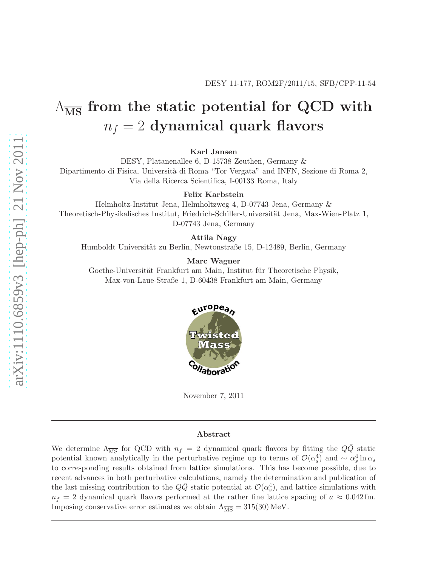# $\Lambda_{\overline{\text{MS}}}$  from the static potential for QCD with  $n_f = 2$  dynamical quark flavors

Karl Jansen

DESY, Platanenallee 6, D-15738 Zeuthen, Germany &

Dipartimento di Fisica, Università di Roma "Tor Vergata" and INFN, Sezione di Roma 2, Via della Ricerca Scientifica, I-00133 Roma, Italy

Felix Karbstein

Helmholtz-Institut Jena, Helmholtzweg 4, D-07743 Jena, Germany & Theoretisch-Physikalisches Institut, Friedrich-Schiller-Universität Jena, Max-Wien-Platz 1, D-07743 Jena, Germany

Attila Nagy

Humboldt Universität zu Berlin, Newtonstraße 15, D-12489, Berlin, Germany

Marc Wagner

Goethe-Universität Frankfurt am Main, Institut für Theoretische Physik, Max-von-Laue-Straße 1, D-60438 Frankfurt am Main, Germany



November 7, 2011

#### Abstract

We determine  $\Lambda_{\overline{\text{MS}}}$  for QCD with  $n_f = 2$  dynamical quark flavors by fitting the  $Q\overline{Q}$  static potential known analytically in the perturbative regime up to terms of  $\mathcal{O}(\alpha_s^4)$  and ~  $\alpha_s^4 \ln \alpha_s$ to corresponding results obtained from lattice simulations. This has become possible, due to recent advances in both perturbative calculations, namely the determination and publication of the last missing contribution to the  $Q\bar{Q}$  static potential at  $\mathcal{O}(\alpha_s^4)$ , and lattice simulations with  $n_f = 2$  dynamical quark flavors performed at the rather fine lattice spacing of  $a \approx 0.042$  fm. Imposing conservative error estimates we obtain  $\Lambda_{\overline{\text{MS}}} = 315(30) \text{ MeV}.$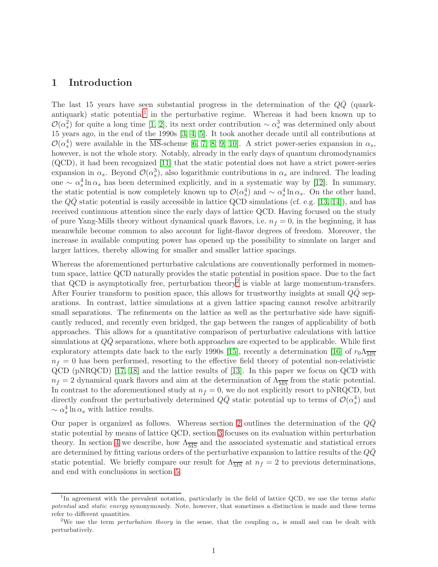## 1 Introduction

The last 15 years have seen substantial progress in the determination of the  $Q\bar{Q}$  (quark-antiquark) static potential<sup>[1](#page-1-0)</sup> in the perturbative regime. Whereas it had been known up to  $\mathcal{O}(\alpha_s^2)$  for quite a long time [\[1,](#page-24-0) [2\]](#page-24-1), its next order contribution ~  $\alpha_s^3$  was determined only about 15 years ago, in the end of the 1990s [\[3,](#page-24-2) [4,](#page-24-3) [5\]](#page-24-4). It took another decade until all contributions at  $\mathcal{O}(\alpha_s^4)$  were available in the  $\overline{\text{MS}}$ -scheme [\[6,](#page-24-5) [7,](#page-24-6) [8,](#page-24-7) [9,](#page-24-8) [10\]](#page-24-9). A strict power-series expansion in  $\alpha_s$ , however, is not the whole story. Notably, already in the early days of quantum chromodynamics (QCD), it had been recognized [\[11\]](#page-25-0) that the static potential does not have a strict power-series expansion in  $\alpha_s$ . Beyond  $\mathcal{O}(\alpha_s^3)$ , also logarithmic contributions in  $\alpha_s$  are induced. The leading one ∼  $\alpha_s^4 \ln \alpha_s$  has been determined explicitly, and in a systematic way by [\[12\]](#page-25-1). In summary, the static potential is now completely known up to  $\mathcal{O}(\alpha_s^4)$  and ~  $\alpha_s^4 \ln \alpha_s$ . On the other hand, the  $QQ$  static potential is easily accessible in lattice QCD simulations (cf. e.g. [\[13,](#page-25-2) [14\]](#page-25-3)), and has received continuous attention since the early days of lattice QCD. Having focused on the study of pure Yang-Mills theory without dynamical quark flavors, i.e.  $n_f = 0$ , in the beginning, it has meanwhile become common to also account for light-flavor degrees of freedom. Moreover, the increase in available computing power has opened up the possibility to simulate on larger and larger lattices, thereby allowing for smaller and smaller lattice spacings.

Whereas the aforementioned perturbative calculations are conventionally performed in momentum space, lattice QCD naturally provides the static potential in position space. Due to the fact that QCD is asymptotically free, perturbation theory<sup>[2](#page-1-1)</sup> is viable at large momentum-transfers. After Fourier transform to position space, this allows for trustworthy insights at small  $QQ$  separations. In contrast, lattice simulations at a given lattice spacing cannot resolve arbitrarily small separations. The refinements on the lattice as well as the perturbative side have significantly reduced, and recently even bridged, the gap between the ranges of applicability of both approaches. This allows for a quantitative comparison of perturbative calculations with lattice simulations at  $Q\bar{Q}$  separations, where both approaches are expected to be applicable. While first exploratory attempts date back to the early 1990s [\[15\]](#page-25-4), recently a determination [\[16\]](#page-25-5) of  $r_0\Lambda_{\overline{\rm MS}}$  $n_f = 0$  has been performed, resorting to the effective field theory of potential non-relativistic QCD (pNRQCD) [\[17,](#page-25-6) [18\]](#page-25-7) and the lattice results of [\[13\]](#page-25-2). In this paper we focus on QCD with  $n_f = 2$  dynamical quark flavors and aim at the determination of  $\Lambda_{\overline{MS}}$  from the static potential. In contrast to the aforementioned study at  $n_f = 0$ , we do not explicitly resort to pNRQCD, but directly confront the perturbatively determined  $Q\bar{Q}$  static potential up to terms of  $\mathcal{O}(\alpha_s^4)$  and  $\sim \alpha_s^4 \ln \alpha_s$  with lattice results.

Our paper is organized as follows. Whereas section [2](#page-2-0) outlines the determination of the  $QQ$ static potential by means of lattice QCD, section [3](#page-6-0) focuses on its evaluation within perturbation theory. In section [4](#page-12-0) we describe, how  $\Lambda_{\overline{\text{MS}}}$  and the associated systematic and statistical errors are determined by fitting various orders of the perturbative expansion to lattice results of the  $Q\bar{Q}$ static potential. We briefly compare our result for  $\Lambda_{\overline{MS}}$  at  $n_f = 2$  to previous determinations, and end with conclusions in section [5.](#page-21-0)

<span id="page-1-0"></span><sup>&</sup>lt;sup>1</sup>In agreement with the prevalent notation, particularly in the field of lattice QCD, we use the terms static potential and static energy synonymously. Note, however, that sometimes a distinction is made and these terms refer to different quantities.

<span id="page-1-1"></span><sup>&</sup>lt;sup>2</sup>We use the term *perturbation theory* in the sense, that the coupling  $\alpha_s$  is small and can be dealt with perturbatively.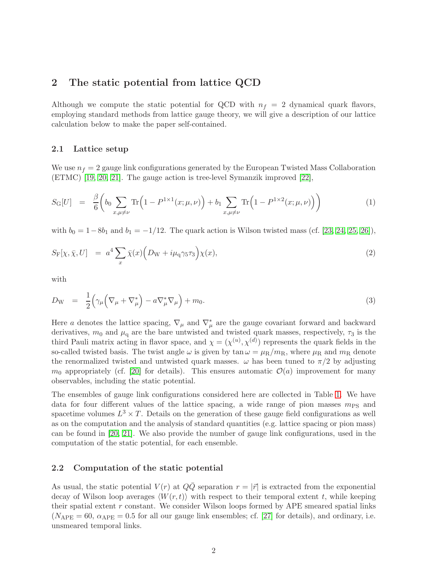## <span id="page-2-0"></span>2 The static potential from lattice QCD

Although we compute the static potential for QCD with  $n_f = 2$  dynamical quark flavors, employing standard methods from lattice gauge theory, we will give a description of our lattice calculation below to make the paper self-contained.

#### <span id="page-2-1"></span>2.1 Lattice setup

We use  $n_f = 2$  gauge link configurations generated by the European Twisted Mass Collaboration (ETMC) [\[19,](#page-25-8) [20,](#page-25-9) [21\]](#page-25-10). The gauge action is tree-level Symanzik improved [\[22\]](#page-25-11),

$$
S_{\rm G}[U] = \frac{\beta}{6} \bigg( b_0 \sum_{x,\mu \neq \nu} \text{Tr} \Big( 1 - P^{1 \times 1}(x; \mu, \nu) \Big) + b_1 \sum_{x,\mu \neq \nu} \text{Tr} \Big( 1 - P^{1 \times 2}(x; \mu, \nu) \Big) \bigg) \tag{1}
$$

with  $b_0 = 1 - 8b_1$  and  $b_1 = -1/12$ . The quark action is Wilson twisted mass (cf. [\[23,](#page-25-12) [24,](#page-25-13) [25,](#page-25-14) [26\]](#page-25-15)),

$$
S_{\mathcal{F}}[\chi, \bar{\chi}, U] = a^4 \sum_{x} \bar{\chi}(x) \Big( D_{\mathcal{W}} + i \mu_{\mathcal{q}} \gamma_5 \tau_3 \Big) \chi(x), \tag{2}
$$

with

$$
D_{\rm W} = \frac{1}{2} \Big( \gamma_{\mu} \Big( \nabla_{\mu} + \nabla_{\mu}^{*} \Big) - a \nabla_{\mu}^{*} \nabla_{\mu} \Big) + m_{0}.
$$
 (3)

Here a denotes the lattice spacing,  $\nabla_{\mu}$  and  $\nabla_{\mu}^{*}$  are the gauge covariant forward and backward derivatives,  $m_0$  and  $\mu_q$  are the bare untwisted and twisted quark masses, respectively,  $\tau_3$  is the third Pauli matrix acting in flavor space, and  $\chi = (\chi^{(u)}, \chi^{(d)})$  represents the quark fields in the so-called twisted basis. The twist angle  $\omega$  is given by tan  $\omega = \mu_R/m_R$ , where  $\mu_R$  and  $m_R$  denote the renormalized twisted and untwisted quark masses.  $\omega$  has been tuned to  $\pi/2$  by adjusting  $m_0$  appropriately (cf. [\[20\]](#page-25-9) for details). This ensures automatic  $\mathcal{O}(a)$  improvement for many observables, including the static potential.

The ensembles of gauge link configurations considered here are collected in Table [1.](#page-3-0) We have data for four different values of the lattice spacing, a wide range of pion masses  $m_{\text{PS}}$  and spacetime volumes  $L^3 \times T$ . Details on the generation of these gauge field configurations as well as on the computation and the analysis of standard quantities (e.g. lattice spacing or pion mass) can be found in [\[20,](#page-25-9) [21\]](#page-25-10). We also provide the number of gauge link configurations, used in the computation of the static potential, for each ensemble.

#### <span id="page-2-2"></span>2.2 Computation of the static potential

As usual, the static potential  $V(r)$  at  $Q\overline{Q}$  separation  $r = |\overline{r}|$  is extracted from the exponential decay of Wilson loop averages  $\langle W(r, t) \rangle$  with respect to their temporal extent t, while keeping their spatial extent  $r$  constant. We consider Wilson loops formed by APE smeared spatial links  $(N_{\text{APE}} = 60, \alpha_{\text{APE}} = 0.5$  for all our gauge link ensembles; cf. [\[27\]](#page-25-16) for details), and ordinary, i.e. unsmeared temporal links.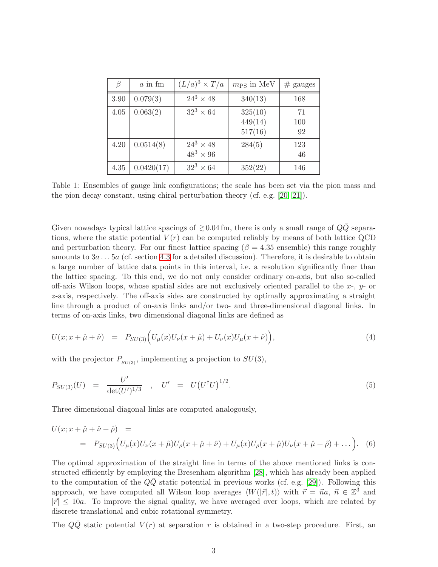| $\beta$ | $a$ in fm  | $(L/a)^3 \times T/a$               | $m_{\rm PS}$ in MeV           | $#$ gauges      |
|---------|------------|------------------------------------|-------------------------------|-----------------|
| 3.90    | 0.079(3)   | $24^3 \times 48$                   | 340(13)                       | 168             |
| 4.05    | 0.063(2)   | $32^3 \times 64$                   | 325(10)<br>449(14)<br>517(16) | 71<br>100<br>92 |
| 4.20    | 0.0514(8)  | $24^3 \times 48$<br>$48^3\times96$ | 284(5)                        | 123<br>46       |
| 4.35    | 0.0420(17) | $32^3 \times 64$                   | 352(22)                       | 146             |

<span id="page-3-0"></span>Table 1: Ensembles of gauge link configurations; the scale has been set via the pion mass and the pion decay constant, using chiral perturbation theory (cf. e.g. [\[20,](#page-25-9) [21\]](#page-25-10)).

Given nowadays typical lattice spacings of  $\geq 0.04 \,\text{fm}$ , there is only a small range of  $Q\bar{Q}$  separations, where the static potential  $V(r)$  can be computed reliably by means of both lattice QCD and perturbation theory. For our finest lattice spacing ( $\beta = 4.35$  ensemble) this range roughly amounts to  $3a \ldots 5a$  (cf. section [4.3](#page-13-0) for a detailed discussion). Therefore, it is desirable to obtain a large number of lattice data points in this interval, i.e. a resolution significantly finer than the lattice spacing. To this end, we do not only consider ordinary on-axis, but also so-called off-axis Wilson loops, whose spatial sides are not exclusively oriented parallel to the  $x$ -,  $y$ - or z-axis, respectively. The off-axis sides are constructed by optimally approximating a straight line through a product of on-axis links and/or two- and three-dimensional diagonal links. In terms of on-axis links, two dimensional diagonal links are defined as

$$
U(x; x + \hat{\mu} + \hat{\nu}) = P_{SU(3)} \Big( U_{\mu}(x) U_{\nu}(x + \hat{\mu}) + U_{\nu}(x) U_{\mu}(x + \hat{\nu}) \Big), \tag{4}
$$

with the projector  $P_{SU(3)}$ , implementing a projection to  $SU(3)$ ,

$$
P_{SU(3)}(U) = \frac{U'}{\det(U')^{1/3}} , \quad U' = U(U^{\dagger}U)^{1/2}.
$$
 (5)

Three dimensional diagonal links are computed analogously,

$$
U(x; x + \hat{\mu} + \hat{\nu} + \hat{\rho}) =
$$
  
=  $P_{SU(3)}(U_{\mu}(x)U_{\nu}(x + \hat{\mu})U_{\rho}(x + \hat{\mu} + \hat{\nu}) + U_{\mu}(x)U_{\rho}(x + \hat{\mu})U_{\nu}(x + \hat{\mu} + \hat{\rho}) + ...).$  (6)

The optimal approximation of the straight line in terms of the above mentioned links is constructed efficiently by employing the Bresenham algorithm [\[28\]](#page-26-0), which has already been applied to the computation of the  $QQ$  static potential in previous works (cf. e.g. [\[29\]](#page-26-1)). Following this approach, we have computed all Wilson loop averages  $\langle W(|\vec{r}|, t) \rangle$  with  $\vec{r} = \vec{n}a, \ \vec{n} \in \mathbb{Z}^3$  and  $|\vec{r}| \leq 10a$ . To improve the signal quality, we have averaged over loops, which are related by discrete translational and cubic rotational symmetry.

The  $QQ$  static potential  $V(r)$  at separation r is obtained in a two-step procedure. First, an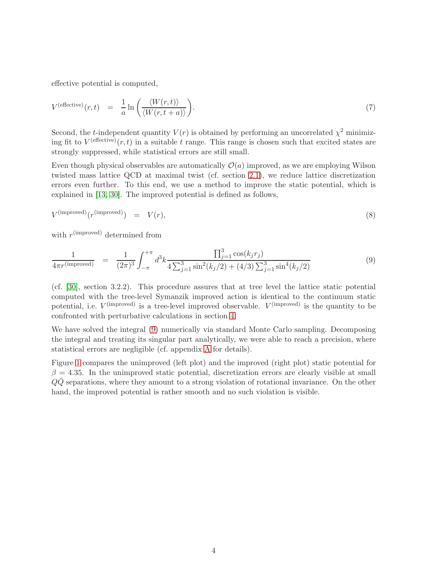effective potential is computed,

$$
V^{(effective)}(r,t) = \frac{1}{a} \ln \left( \frac{\langle W(r,t) \rangle}{\langle W(r,t+a) \rangle} \right).
$$
\n(7)

Second, the *t*-independent quantity  $V(r)$  is obtained by performing an uncorrelated  $\chi^2$  minimizing fit to  $V^{(effective)}(r,t)$  in a suitable t range. This range is chosen such that excited states are strongly suppressed, while statistical errors are still small.

Even though physical observables are automatically  $\mathcal{O}(a)$  improved, as we are employing Wilson twisted mass lattice QCD at maximal twist (cf. section [2.1\)](#page-2-1), we reduce lattice discretization errors even further. To this end, we use a method to improve the static potential, which is explained in [\[13,](#page-25-2) [30\]](#page-26-2). The improved potential is defined as follows,

$$
V^{\text{(improved)}}(r^{\text{(improved)}}) = V(r), \tag{8}
$$

with  $r<sup>(improved)</sup> determined from$ 

<span id="page-4-0"></span>
$$
\frac{1}{4\pi r^{(\text{improved})}} = \frac{1}{(2\pi)^3} \int_{-\pi}^{+\pi} d^3k \frac{\prod_{j=1}^3 \cos(k_j r_j)}{4\sum_{j=1}^3 \sin^2(k_j/2) + (4/3)\sum_{j=1}^3 \sin^4(k_j/2)} \tag{9}
$$

(cf. [\[30\]](#page-26-2), section 3.2.2). This procedure assures that at tree level the lattice static potential computed with the tree-level Symanzik improved action is identical to the continuum static potential, i.e.  $V^{(improved)}$  is a tree-level improved observable.  $V^{(improved)}$  is the quantity to be confronted with perturbative calculations in section [4.](#page-12-0)

We have solved the integral [\(9\)](#page-4-0) numerically via standard Monte Carlo sampling. Decomposing the integral and treating its singular part analytically, we were able to reach a precision, where statistical errors are negligible (cf. appendix [A](#page-23-0) for details).

Figure [1](#page-5-0) compares the unimproved (left plot) and the improved (right plot) static potential for  $\beta = 4.35$ . In the unimproved static potential, discretization errors are clearly visible at small  $Q\overline{Q}$  separations, where they amount to a strong violation of rotational invariance. On the other hand, the improved potential is rather smooth and no such violation is visible.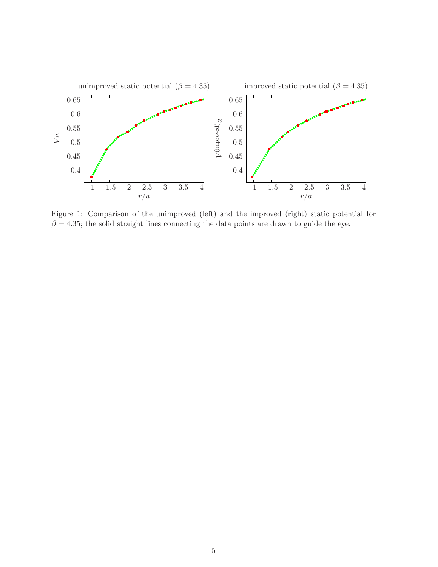

<span id="page-5-0"></span>Figure 1: Comparison of the unimproved (left) and the improved (right) static potential for  $\beta = 4.35$ ; the solid straight lines connecting the data points are drawn to guide the eye.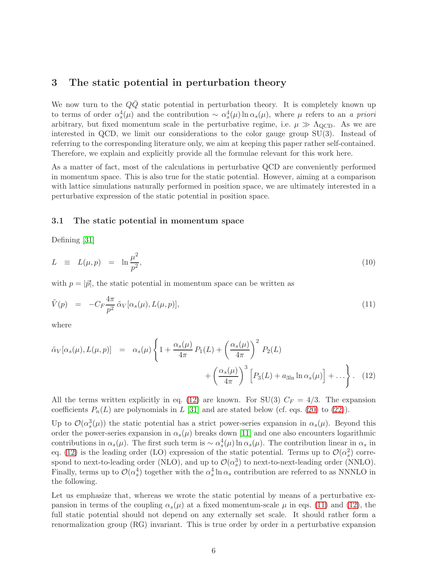# <span id="page-6-0"></span>3 The static potential in perturbation theory

We now turn to the  $QQ$  static potential in perturbation theory. It is completely known up to terms of order  $\alpha_s^4(\mu)$  and the contribution ~  $\alpha_s^4(\mu) \ln \alpha_s(\mu)$ , where  $\mu$  refers to an a priori arbitrary, but fixed momentum scale in the perturbative regime, i.e.  $\mu \gg \Lambda_{\text{QCD}}$ . As we are interested in QCD, we limit our considerations to the color gauge group SU(3). Instead of referring to the corresponding literature only, we aim at keeping this paper rather self-contained. Therefore, we explain and explicitly provide all the formulae relevant for this work here.

As a matter of fact, most of the calculations in perturbative QCD are conveniently performed in momentum space. This is also true for the static potential. However, aiming at a comparison with lattice simulations naturally performed in position space, we are ultimately interested in a perturbative expression of the static potential in position space.

#### <span id="page-6-3"></span>3.1 The static potential in momentum space

Defining [\[31\]](#page-26-3)

$$
L \equiv L(\mu, p) = \ln \frac{\mu^2}{p^2}, \tag{10}
$$

<span id="page-6-2"></span>with  $p = |\vec{p}|$ , the static potential in momentum space can be written as

$$
\tilde{V}(p) = -C_F \frac{4\pi}{p^2} \tilde{\alpha}_V[\alpha_s(\mu), L(\mu, p)],\tag{11}
$$

where

<span id="page-6-1"></span>
$$
\tilde{\alpha}_V[\alpha_s(\mu), L(\mu, p)] = \alpha_s(\mu) \left\{ 1 + \frac{\alpha_s(\mu)}{4\pi} P_1(L) + \left(\frac{\alpha_s(\mu)}{4\pi}\right)^2 P_2(L) + \left(\frac{\alpha_s(\mu)}{4\pi}\right)^3 \left[ P_3(L) + a_{3\ln} \ln \alpha_s(\mu) \right] + \ldots \right\}.
$$
 (12)

All the terms written explicitly in eq. [\(12\)](#page-6-1) are known. For SU(3)  $C_F = 4/3$ . The expansion coefficients  $P_n(L)$  are polynomials in L [\[31\]](#page-26-3) and are stated below (cf. eqs. [\(20\)](#page-7-0) to [\(22\)](#page-7-0)).

Up to  $\mathcal{O}(\alpha_s^3(\mu))$  the static potential has a strict power-series expansion in  $\alpha_s(\mu)$ . Beyond this order the power-series expansion in  $\alpha_s(\mu)$  breaks down [\[11\]](#page-25-0) and one also encounters logarithmic contributions in  $\alpha_s(\mu)$ . The first such term is  $\sim \alpha_s^4(\mu) \ln \alpha_s(\mu)$ . The contribution linear in  $\alpha_s$  in eq. [\(12\)](#page-6-1) is the leading order (LO) expression of the static potential. Terms up to  $\mathcal{O}(\alpha_s^2)$  correspond to next-to-leading order (NLO), and up to  $\mathcal{O}(\alpha_s^3)$  to next-to-next-leading order (NNLO). Finally, terms up to  $\mathcal{O}(\alpha_s^4)$  together with the  $\alpha_s^4 \ln \alpha_s$  contribution are referred to as NNNLO in the following.

Let us emphasize that, whereas we wrote the static potential by means of a perturbative expansion in terms of the coupling  $\alpha_s(\mu)$  at a fixed momentum-scale  $\mu$  in eqs. [\(11\)](#page-6-2) and [\(12\)](#page-6-1), the full static potential should not depend on any externally set scale. It should rather form a renormalization group (RG) invariant. This is true order by order in a perturbative expansion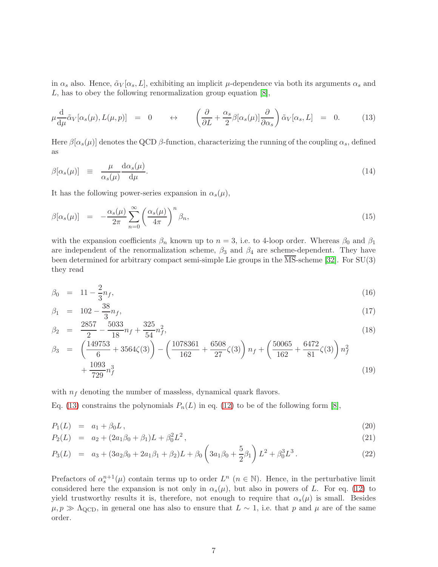in  $\alpha_s$  also. Hence,  $\tilde{\alpha}_V[\alpha_s, L]$ , exhibiting an implicit  $\mu$ -dependence via both its arguments  $\alpha_s$  and L, has to obey the following renormalization group equation [\[8\]](#page-24-7),

<span id="page-7-1"></span>
$$
\mu \frac{\mathrm{d}}{\mathrm{d}\mu} \tilde{\alpha}_V[\alpha_s(\mu), L(\mu, p)] = 0 \qquad \leftrightarrow \qquad \left(\frac{\partial}{\partial L} + \frac{\alpha_s}{2} \beta[\alpha_s(\mu)] \frac{\partial}{\partial \alpha_s}\right) \tilde{\alpha}_V[\alpha_s, L] = 0. \tag{13}
$$

<span id="page-7-2"></span>Here  $\beta[\alpha_s(\mu)]$  denotes the QCD  $\beta$ -function, characterizing the running of the coupling  $\alpha_s$ , defined as

$$
\beta[\alpha_s(\mu)] \equiv \frac{\mu}{\alpha_s(\mu)} \frac{d\alpha_s(\mu)}{d\mu}.
$$
\n(14)

<span id="page-7-3"></span>It has the following power-series expansion in  $\alpha_s(\mu)$ ,

$$
\beta[\alpha_s(\mu)] = -\frac{\alpha_s(\mu)}{2\pi} \sum_{n=0}^{\infty} \left(\frac{\alpha_s(\mu)}{4\pi}\right)^n \beta_n, \tag{15}
$$

with the expansion coefficients  $\beta_n$  known up to  $n = 3$ , i.e. to 4-loop order. Whereas  $\beta_0$  and  $\beta_1$ are independent of the renormalization scheme,  $\beta_3$  and  $\beta_4$  are scheme-dependent. They have been determined for arbitrary compact semi-simple Lie groups in the  $\overline{\text{MS}}$ -scheme [\[32\]](#page-26-4). For SU(3) they read

<span id="page-7-4"></span>
$$
\beta_0 = 11 - \frac{2}{3} n_f,\tag{16}
$$

$$
\beta_1 = 102 - \frac{38}{3} n_f,\tag{17}
$$

$$
\beta_2 = \frac{2857}{2} - \frac{5033}{18}n_f + \frac{325}{54}n_f^2,\tag{18}
$$

$$
\beta_3 = \left(\frac{149753}{6} + 3564\zeta(3)\right) - \left(\frac{1078361}{162} + \frac{6508}{27}\zeta(3)\right)n_f + \left(\frac{50065}{162} + \frac{6472}{81}\zeta(3)\right)n_f^2 + \frac{1093}{729}n_f^3\tag{19}
$$

with  $n_f$  denoting the number of massless, dynamical quark flavors.

Eq. [\(13\)](#page-7-1) constrains the polynomials  $P_n(L)$  in eq. [\(12\)](#page-6-1) to be of the following form [\[8\]](#page-24-7),

<span id="page-7-0"></span>
$$
P_1(L) = a_1 + \beta_0 L, \tag{20}
$$

$$
P_2(L) = a_2 + (2a_1\beta_0 + \beta_1)L + \beta_0^2L^2,
$$
\n(21)

$$
P_3(L) = a_3 + (3a_2\beta_0 + 2a_1\beta_1 + \beta_2)L + \beta_0\left(3a_1\beta_0 + \frac{5}{2}\beta_1\right)L^2 + \beta_0^3L^3.
$$
 (22)

Prefactors of  $\alpha_s^{n+1}(\mu)$  contain terms up to order  $L^n$   $(n \in \mathbb{N})$ . Hence, in the perturbative limit considered here the expansion is not only in  $\alpha_s(\mu)$ , but also in powers of L. For eq. [\(12\)](#page-6-1) to yield trustworthy results it is, therefore, not enough to require that  $\alpha_s(\mu)$  is small. Besides  $\mu, p \gg \Lambda_{\rm QCD}$ , in general one has also to ensure that  $L \sim 1$ , i.e. that p and  $\mu$  are of the same order.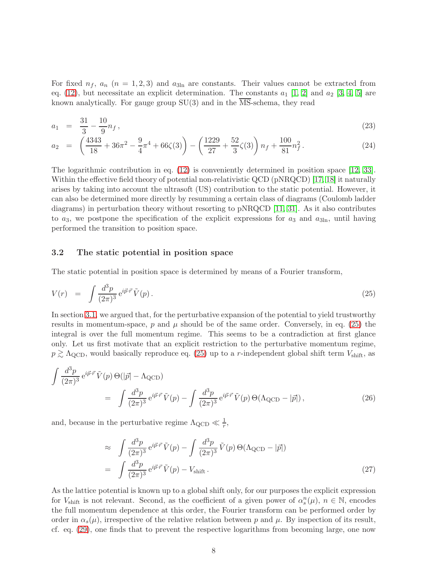For fixed  $n_f$ ,  $a_n$  ( $n = 1, 2, 3$ ) and  $a_{3ln}$  are constants. Their values cannot be extracted from eq. [\(12\)](#page-6-1), but necessitate an explicit determination. The constants  $a_1$  [\[1,](#page-24-0) [2\]](#page-24-1) and  $a_2$  [\[3,](#page-24-2) [4,](#page-24-3) [5\]](#page-24-4) are known analytically. For gauge group  $SU(3)$  and in the  $\overline{\text{MS}}$ -schema, they read

$$
a_1 = \frac{31}{3} - \frac{10}{9} n_f,
$$
\n<sup>(23)</sup>

$$
a_2 = \left(\frac{4343}{18} + 36\pi^2 - \frac{9}{4}\pi^4 + 66\zeta(3)\right) - \left(\frac{1229}{27} + \frac{52}{3}\zeta(3)\right)n_f + \frac{100}{81}n_f^2.
$$
 (24)

The logarithmic contribution in eq. [\(12\)](#page-6-1) is conveniently determined in position space [\[12,](#page-25-1) [33\]](#page-26-5). Within the effective field theory of potential non-relativistic QCD (pNRQCD) [\[17,](#page-25-6) [18\]](#page-25-7) it naturally arises by taking into account the ultrasoft (US) contribution to the static potential. However, it can also be determined more directly by resumming a certain class of diagrams (Coulomb ladder diagrams) in perturbation theory without resorting to pNRQCD [\[11,](#page-25-0) [31\]](#page-26-3). As it also contributes to  $a_3$ , we postpone the specification of the explicit expressions for  $a_3$  and  $a_{3ln}$ , until having performed the transition to position space.

#### 3.2 The static potential in position space

<span id="page-8-0"></span>The static potential in position space is determined by means of a Fourier transform,

$$
V(r) = \int \frac{d^3p}{(2\pi)^3} e^{i\vec{p}\cdot\vec{r}} \tilde{V}(p). \tag{25}
$$

In section [3.1,](#page-6-3) we argued that, for the perturbative expansion of the potential to yield trustworthy results in momentum-space, p and  $\mu$  should be of the same order. Conversely, in eq. [\(25\)](#page-8-0) the integral is over the full momentum regime. This seems to be a contradiction at first glance only. Let us first motivate that an explicit restriction to the perturbative momentum regime,  $p \gtrsim \Lambda_{\rm QCD}$ , would basically reproduce eq. [\(25\)](#page-8-0) up to a r-independent global shift term  $V_{\rm shift}$ , as

$$
\int \frac{d^3 p}{(2\pi)^3} e^{i\vec{p}\cdot\vec{r}} \tilde{V}(p) \Theta(|\vec{p}| - \Lambda_{\text{QCD}})
$$
\n
$$
= \int \frac{d^3 p}{(2\pi)^3} e^{i\vec{p}\cdot\vec{r}} \tilde{V}(p) - \int \frac{d^3 p}{(2\pi)^3} e^{i\vec{p}\cdot\vec{r}} \tilde{V}(p) \Theta(\Lambda_{\text{QCD}} - |\vec{p}|), \qquad (26)
$$

and, because in the perturbative regime  $\Lambda_{\rm QCD} \ll \frac{1}{r}$ ,

$$
\approx \int \frac{d^3 p}{(2\pi)^3} e^{i\vec{p}\cdot\vec{r}} \tilde{V}(p) - \int \frac{d^3 p}{(2\pi)^3} \tilde{V}(p) \Theta(\Lambda_{\text{QCD}} - |\vec{p}|)
$$
  
= 
$$
\int \frac{d^3 p}{(2\pi)^3} e^{i\vec{p}\cdot\vec{r}} \tilde{V}(p) - V_{\text{shift}}.
$$
 (27)

As the lattice potential is known up to a global shift only, for our purposes the explicit expression for  $V_{\text{shift}}$  is not relevant. Second, as the coefficient of a given power of  $\alpha_s^n(\mu)$ ,  $n \in \mathbb{N}$ , encodes the full momentum dependence at this order, the Fourier transform can be performed order by order in  $\alpha_s(\mu)$ , irrespective of the relative relation between p and  $\mu$ . By inspection of its result, cf. eq. [\(29\)](#page-9-0), one finds that to prevent the respective logarithms from becoming large, one now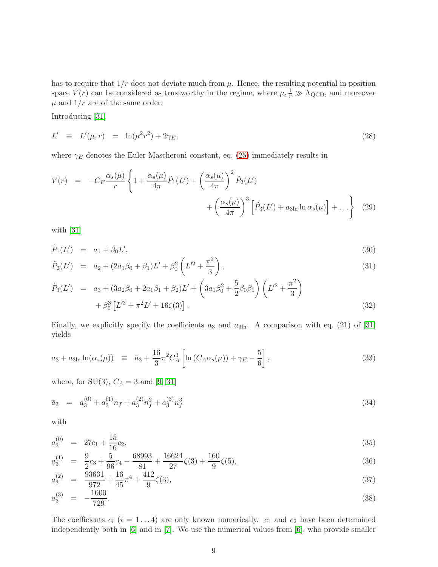has to require that  $1/r$  does not deviate much from  $\mu$ . Hence, the resulting potential in position space  $V(r)$  can be considered as trustworthy in the regime, where  $\mu$ ,  $\frac{1}{r} \gg \Lambda_{\rm QCD}$ , and moreover  $\mu$  and  $1/r$  are of the same order.

Introducing [\[31\]](#page-26-3)

<span id="page-9-2"></span>
$$
L' \equiv L'(\mu, r) = \ln(\mu^2 r^2) + 2\gamma_E,
$$
\n(28)

where  $\gamma_E$  denotes the Euler-Mascheroni constant, eq. [\(25\)](#page-8-0) immediately results in

$$
V(r) = -C_F \frac{\alpha_s(\mu)}{r} \left\{ 1 + \frac{\alpha_s(\mu)}{4\pi} \tilde{P}_1(L') + \left(\frac{\alpha_s(\mu)}{4\pi}\right)^2 \tilde{P}_2(L') + \left(\frac{\alpha_s(\mu)}{4\pi}\right)^3 \left[ \tilde{P}_3(L') + a_{3\ln} \ln \alpha_s(\mu) \right] + \dots \right\}
$$
(29)

<span id="page-9-0"></span>with [\[31\]](#page-26-3)

$$
\tilde{P}_1(L') = a_1 + \beta_0 L',
$$
\n(30)

$$
\tilde{P}_2(L') = a_2 + (2a_1\beta_0 + \beta_1)L' + \beta_0^2 \left(L'^2 + \frac{\pi^2}{3}\right),\tag{31}
$$

$$
\tilde{P}_3(L') = a_3 + (3a_2\beta_0 + 2a_1\beta_1 + \beta_2)L' + (3a_1\beta_0^2 + \frac{5}{2}\beta_0\beta_1)(L'^2 + \frac{\pi^2}{3}) \n+ \beta_0^3 [L'^3 + \pi^2L' + 16\zeta(3)].
$$
\n(32)

Finally, we explicitly specify the coefficients  $a_3$  and  $a_{3ln}$ . A comparison with eq. (21) of [\[31\]](#page-26-3) yields

<span id="page-9-1"></span>
$$
a_3 + a_{3\ln} \ln(\alpha_s(\mu)) \equiv \bar{a}_3 + \frac{16}{3} \pi^2 C_A^3 \left[ \ln \left( C_A \alpha_s(\mu) \right) + \gamma_E - \frac{5}{6} \right], \tag{33}
$$

where, for  $SU(3)$ ,  $C_A = 3$  and [\[9,](#page-24-8) [31\]](#page-26-3)

$$
\bar{a}_3 = a_3^{(0)} + a_3^{(1)}n_f + a_3^{(2)}n_f^2 + a_3^{(3)}n_f^3 \tag{34}
$$

with

$$
a_3^{(0)} = 27c_1 + \frac{15}{16}c_2,\tag{35}
$$

$$
a_3^{(1)} = \frac{9}{2}c_3 + \frac{5}{96}c_4 - \frac{68993}{81} + \frac{16624}{27}\zeta(3) + \frac{160}{9}\zeta(5),\tag{36}
$$

$$
a_3^{(2)} = \frac{93631}{972} + \frac{16}{45}\pi^4 + \frac{412}{9}\zeta(3),\tag{37}
$$

$$
a_3^{(3)} = -\frac{1000}{729}.\tag{38}
$$

The coefficients  $c_i$   $(i = 1...4)$  are only known numerically.  $c_1$  and  $c_2$  have been determined independently both in [\[6\]](#page-24-5) and in [\[7\]](#page-24-6). We use the numerical values from [\[6\]](#page-24-5), who provide smaller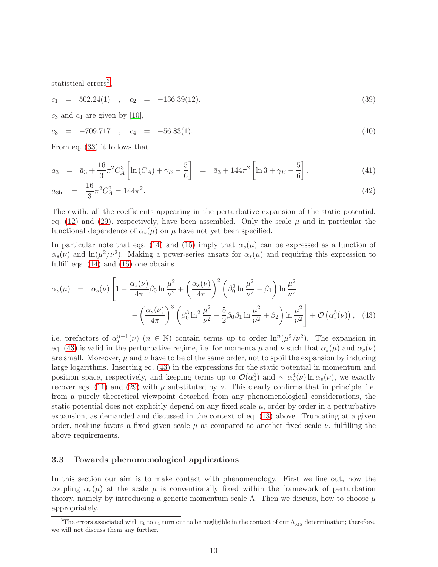statistical errors<sup>[3](#page-10-0)</sup>,

$$
c_1 = 502.24(1) , c_2 = -136.39(12). \tag{39}
$$

 $c_3$  and  $c_4$  are given by [\[10\]](#page-24-9),

$$
c_3 = -709.717 , c_4 = -56.83(1). \tag{40}
$$

From eq. [\(33\)](#page-9-1) it follows that

$$
a_3 = \bar{a}_3 + \frac{16}{3} \pi^2 C_A^3 \left[ \ln(C_A) + \gamma_E - \frac{5}{6} \right] = \bar{a}_3 + 144 \pi^2 \left[ \ln 3 + \gamma_E - \frac{5}{6} \right],
$$
\n(41)

$$
a_{3\ln} = \frac{16}{3}\pi^2 C_A^3 = 144\pi^2. \tag{42}
$$

Therewith, all the coefficients appearing in the perturbative expansion of the static potential, eq. [\(12\)](#page-6-1) and [\(29\)](#page-9-0), respectively, have been assembled. Only the scale  $\mu$  and in particular the functional dependence of  $\alpha_s(\mu)$  on  $\mu$  have not yet been specified.

In particular note that eqs. [\(14\)](#page-7-2) and [\(15\)](#page-7-3) imply that  $\alpha_s(\mu)$  can be expressed as a function of  $\alpha_s(\nu)$  and  $\ln(\mu^2/\nu^2)$ . Making a power-series ansatz for  $\alpha_s(\mu)$  and requiring this expression to fulfill eqs. [\(14\)](#page-7-2) and [\(15\)](#page-7-3) one obtains

<span id="page-10-1"></span>
$$
\alpha_s(\mu) = \alpha_s(\nu) \left[ 1 - \frac{\alpha_s(\nu)}{4\pi} \beta_0 \ln \frac{\mu^2}{\nu^2} + \left( \frac{\alpha_s(\nu)}{4\pi} \right)^2 \left( \beta_0^2 \ln \frac{\mu^2}{\nu^2} - \beta_1 \right) \ln \frac{\mu^2}{\nu^2} - \left( \frac{\alpha_s(\nu)}{4\pi} \right)^3 \left( \beta_0^3 \ln^2 \frac{\mu^2}{\nu^2} - \frac{5}{2} \beta_0 \beta_1 \ln \frac{\mu^2}{\nu^2} + \beta_2 \right) \ln \frac{\mu^2}{\nu^2} \right] + \mathcal{O}\left(\alpha_s^5(\nu)\right), \quad (43)
$$

i.e. prefactors of  $\alpha_s^{n+1}(\nu)$   $(n \in \mathbb{N})$  contain terms up to order  $\ln^n(\mu^2/\nu^2)$ . The expansion in eq. [\(43\)](#page-10-1) is valid in the perturbative regime, i.e. for momenta  $\mu$  and  $\nu$  such that  $\alpha_s(\mu)$  and  $\alpha_s(\nu)$ are small. Moreover,  $\mu$  and  $\nu$  have to be of the same order, not to spoil the expansion by inducing large logarithms. Inserting eq. [\(43\)](#page-10-1) in the expressions for the static potential in momentum and position space, respectively, and keeping terms up to  $\mathcal{O}(\alpha_s^4)$  and ~  $\alpha_s^4(\nu) \ln \alpha_s(\nu)$ , we exactly recover eqs. [\(11\)](#page-6-2) and [\(29\)](#page-9-0) with  $\mu$  substituted by  $\nu$ . This clearly confirms that in principle, i.e. from a purely theoretical viewpoint detached from any phenomenological considerations, the static potential does not explicitly depend on any fixed scale  $\mu$ , order by order in a perturbative expansion, as demanded and discussed in the context of eq. [\(13\)](#page-7-1) above. Truncating at a given order, nothing favors a fixed given scale  $\mu$  as compared to another fixed scale  $\nu$ , fulfilling the above requirements.

#### 3.3 Towards phenomenological applications

In this section our aim is to make contact with phenomenology. First we line out, how the coupling  $\alpha_s(\mu)$  at the scale  $\mu$  is conventionally fixed within the framework of perturbation theory, namely by introducing a generic momentum scale  $\Lambda$ . Then we discuss, how to choose  $\mu$ appropriately.

<span id="page-10-0"></span><sup>&</sup>lt;sup>3</sup>The errors associated with  $c_1$  to  $c_4$  turn out to be negligible in the context of our  $\Lambda_{\overline{\rm MS}}$  determination; therefore, we will not discuss them any further.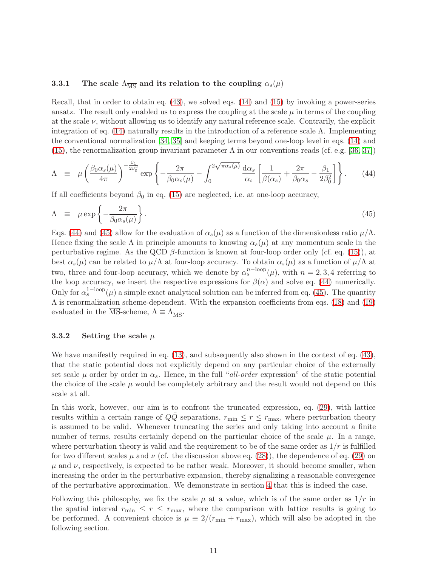#### <span id="page-11-2"></span>3.3.1 The scale  $\Lambda_{\overline{\text{MS}}}$  and its relation to the coupling  $\alpha_s(\mu)$

Recall, that in order to obtain eq. [\(43\)](#page-10-1), we solved eqs. [\(14\)](#page-7-2) and [\(15\)](#page-7-3) by invoking a power-series ansatz. The result only enabled us to express the coupling at the scale  $\mu$  in terms of the coupling at the scale  $\nu$ , without allowing us to identify any natural reference scale. Contrarily, the explicit integration of eq. [\(14\)](#page-7-2) naturally results in the introduction of a reference scale  $\Lambda$ . Implementing the conventional normalization [\[34,](#page-26-6) [35\]](#page-26-7) and keeping terms beyond one-loop level in eqs. [\(14\)](#page-7-2) and [\(15\)](#page-7-3), the renormalization group invariant parameter  $\Lambda$  in our conventions reads (cf. e.g. [\[36,](#page-26-8) [37\]](#page-26-9))

<span id="page-11-0"></span>
$$
\Lambda \equiv \mu \left( \frac{\beta_0 \alpha_s(\mu)}{4\pi} \right)^{-\frac{\beta_1}{2\beta_0^2}} \exp \left\{ -\frac{2\pi}{\beta_0 \alpha_s(\mu)} - \int_0^{2\sqrt{\pi \alpha_s(\mu)}} \frac{d\alpha_s}{\alpha_s} \left[ \frac{1}{\beta(\alpha_s)} + \frac{2\pi}{\beta_0 \alpha_s} - \frac{\beta_1}{2\beta_0^2} \right] \right\}.
$$
 (44)

If all coefficients beyond  $\beta_0$  in eq. [\(15\)](#page-7-3) are neglected, i.e. at one-loop accuracy,

<span id="page-11-1"></span>
$$
\Lambda \equiv \mu \exp\left\{-\frac{2\pi}{\beta_0 \alpha_s(\mu)}\right\}.
$$
\n(45)

Eqs. [\(44\)](#page-11-0) and [\(45\)](#page-11-1) allow for the evaluation of  $\alpha_s(\mu)$  as a function of the dimensionless ratio  $\mu/\Lambda$ . Hence fixing the scale  $\Lambda$  in principle amounts to knowing  $\alpha_s(\mu)$  at any momentum scale in the perturbative regime. As the QCD  $\beta$ -function is known at four-loop order only (cf. eq. [\(15\)](#page-7-3)), at best  $\alpha_s(\mu)$  can be related to  $\mu/\Lambda$  at four-loop accuracy. To obtain  $\alpha_s(\mu)$  as a function of  $\mu/\Lambda$  at two, three and four-loop accuracy, which we denote by  $\alpha_s^{n-\text{loop}}(\mu)$ , with  $n = 2, 3, 4$  referring to the loop accuracy, we insert the respective expressions for  $\beta(\alpha)$  and solve eq. [\(44\)](#page-11-0) numerically. Only for  $\alpha_s^{1-\text{loop}}(\mu)$  a simple exact analytical solution can be inferred from eq. [\(45\)](#page-11-1). The quantity  $\Lambda$  is renormalization scheme-dependent. With the expansion coefficients from eqs. [\(18\)](#page-7-4) and [\(19\)](#page-7-4) evaluated in the MS-scheme,  $\Lambda \equiv \Lambda_{\overline{\text{MS}}}$ .

#### <span id="page-11-3"></span>3.3.2 Setting the scale  $\mu$

We have manifestly required in eq. [\(13\)](#page-7-1), and subsequently also shown in the context of eq. [\(43\)](#page-10-1), that the static potential does not explicitly depend on any particular choice of the externally set scale  $\mu$  order by order in  $\alpha_s$ . Hence, in the full "all-order expression" of the static potential the choice of the scale  $\mu$  would be completely arbitrary and the result would not depend on this scale at all.

In this work, however, our aim is to confront the truncated expression, eq. [\(29\)](#page-9-0), with lattice results within a certain range of  $QQ$  separations,  $r_{\min} \leq r \leq r_{\max}$ , where perturbation theory is assumed to be valid. Whenever truncating the series and only taking into account a finite number of terms, results certainly depend on the particular choice of the scale  $\mu$ . In a range, where perturbation theory is valid and the requirement to be of the same order as  $1/r$  is fulfilled for two different scales  $\mu$  and  $\nu$  (cf. the discussion above eq. [\(28\)](#page-9-2)), the dependence of eq. [\(29\)](#page-9-0) on  $\mu$  and  $\nu$ , respectively, is expected to be rather weak. Moreover, it should become smaller, when increasing the order in the perturbative expansion, thereby signalizing a reasonable convergence of the perturbative approximation. We demonstrate in section [4](#page-12-0) that this is indeed the case.

Following this philosophy, we fix the scale  $\mu$  at a value, which is of the same order as  $1/r$  in the spatial interval  $r_{\text{min}} \leq r \leq r_{\text{max}}$ , where the comparison with lattice results is going to be performed. A convenient choice is  $\mu = 2/(r_{\min} + r_{\max})$ , which will also be adopted in the following section.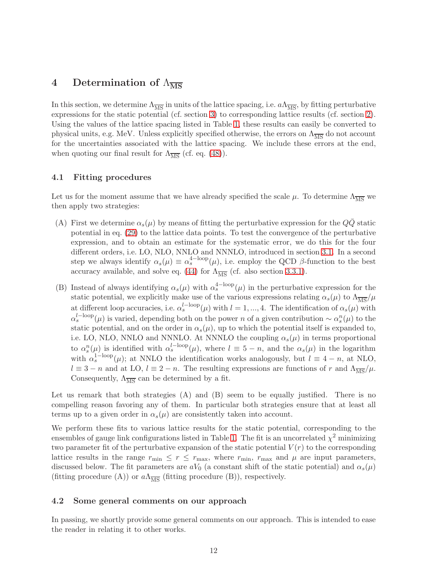# <span id="page-12-0"></span>4 Determination of  $\Lambda_{\overline{\text{MS}}}$

In this section, we determine  $\Lambda_{\overline{MS}}$  in units of the lattice spacing, i.e.  $a\Lambda_{\overline{MS}}$ , by fitting perturbative expressions for the static potential (cf. section [3\)](#page-6-0) to corresponding lattice results (cf. section [2\)](#page-2-0). Using the values of the lattice spacing listed in Table [1,](#page-3-0) these results can easily be converted to physical units, e.g. MeV. Unless explicitly specified otherwise, the errors on  $\Lambda_{\overline{\text{MS}}}$  do not account for the uncertainties associated with the lattice spacing. We include these errors at the end, when quoting our final result for  $\Lambda_{\overline{\text{MS}}}$  (cf. eq. [\(48\)](#page-20-0)).

#### 4.1 Fitting procedures

Let us for the moment assume that we have already specified the scale  $\mu$ . To determine  $\Lambda_{\overline{\text{MS}}}$  we then apply two strategies:

- (A) First we determine  $\alpha_s(\mu)$  by means of fitting the perturbative expression for the QQ static potential in eq. [\(29\)](#page-9-0) to the lattice data points. To test the convergence of the perturbative expression, and to obtain an estimate for the systematic error, we do this for the four different orders, i.e. LO, NLO, NNLO and NNNLO, introduced in section [3.1.](#page-6-3) In a second step we always identify  $\alpha_s(\mu) \equiv \alpha_s^{4-loop}(\mu)$ , i.e. employ the QCD  $\beta$ -function to the best accuracy available, and solve eq. [\(44\)](#page-11-0) for  $\Lambda_{\overline{\rm MS}}$  (cf. also section [3.3.1\)](#page-11-2).
- (B) Instead of always identifying  $\alpha_s(\mu)$  with  $\alpha_s^{4-loop}(\mu)$  in the perturbative expression for the static potential, we explicitly make use of the various expressions relating  $\alpha_s(\mu)$  to  $\Lambda_{\overline{\rm MS}}/\mu$ at different loop accuracies, i.e.  $\alpha_s^{l-\text{loop}}(\mu)$  with  $l = 1, ..., 4$ . The identification of  $\alpha_s(\mu)$  with  $\alpha_s^{l-\text{loop}}(\mu)$  is varied, depending both on the power n of a given contribution  $\sim \alpha_s^n(\mu)$  to the static potential, and on the order in  $\alpha_s(\mu)$ , up to which the potential itself is expanded to, i.e. LO, NLO, NNLO and NNNLO. At NNNLO the coupling  $\alpha_s(\mu)$  in terms proportional to  $\alpha_s^n(\mu)$  is identified with  $\alpha_s^{l-\text{loop}}(\mu)$ , where  $l \equiv 5-n$ , and the  $\alpha_s(\mu)$  in the logarithm with  $\alpha_s^{\text{1-loop}}(\mu)$ ; at NNLO the identification works analogously, but  $l \equiv 4 - n$ , at NLO,  $l \equiv 3 - n$  and at LO,  $l \equiv 2 - n$ . The resulting expressions are functions of r and  $\Lambda_{\overline{\text{MS}}}/\mu$ . Consequently,  $\Lambda_{\overline{\text{MS}}}$  can be determined by a fit.

Let us remark that both strategies (A) and (B) seem to be equally justified. There is no compelling reason favoring any of them. In particular both strategies ensure that at least all terms up to a given order in  $\alpha_s(\mu)$  are consistently taken into account.

We perform these fits to various lattice results for the static potential, corresponding to the ensembles of gauge link configurations listed in Table [1.](#page-3-0) The fit is an uncorrelated  $\chi^2$  minimizing two parameter fit of the perturbative expansion of the static potential  $V(r)$  to the corresponding lattice results in the range  $r_{\min} \leq r \leq r_{\max}$ , where  $r_{\min}$ ,  $r_{\max}$  and  $\mu$  are input parameters, discussed below. The fit parameters are  $aV_0$  (a constant shift of the static potential) and  $\alpha_s(\mu)$ (fitting procedure (A)) or  $a\Lambda_{\overline{\text{MS}}}$  (fitting procedure (B)), respectively.

#### 4.2 Some general comments on our approach

In passing, we shortly provide some general comments on our approach. This is intended to ease the reader in relating it to other works.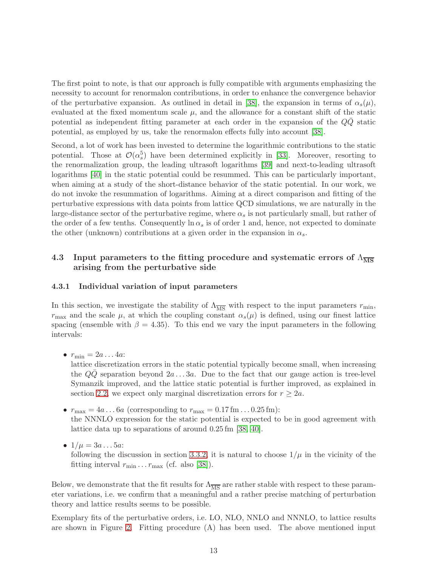The first point to note, is that our approach is fully compatible with arguments emphasizing the necessity to account for renormalon contributions, in order to enhance the convergence behavior of the perturbative expansion. As outlined in detail in [\[38\]](#page-26-10), the expansion in terms of  $\alpha_s(\mu)$ , evaluated at the fixed momentum scale  $\mu$ , and the allowance for a constant shift of the static potential as independent fitting parameter at each order in the expansion of the  $QQ$  static potential, as employed by us, take the renormalon effects fully into account [\[38\]](#page-26-10).

Second, a lot of work has been invested to determine the logarithmic contributions to the static potential. Those at  $\mathcal{O}(\alpha_s^5)$  have been determined explicitly in [\[33\]](#page-26-5). Moreover, resorting to the renormalization group, the leading ultrasoft logarithms [\[39\]](#page-26-11) and next-to-leading ultrasoft logarithms [\[40\]](#page-26-12) in the static potential could be resummed. This can be particularly important, when aiming at a study of the short-distance behavior of the static potential. In our work, we do not invoke the resummation of logarithms. Aiming at a direct comparison and fitting of the perturbative expressions with data points from lattice QCD simulations, we are naturally in the large-distance sector of the perturbative regime, where  $\alpha_s$  is not particularly small, but rather of the order of a few tenths. Consequently  $\ln \alpha_s$  is of order 1 and, hence, not expected to dominate the other (unknown) contributions at a given order in the expansion in  $\alpha_s$ .

### <span id="page-13-0"></span>4.3 Input parameters to the fitting procedure and systematic errors of  $\Lambda_{\overline{\text{MS}}}$ arising from the perturbative side

#### 4.3.1 Individual variation of input parameters

In this section, we investigate the stability of  $\Lambda_{\overline{\rm MS}}$  with respect to the input parameters  $r_{\rm min}$ ,  $r_{\text{max}}$  and the scale  $\mu$ , at which the coupling constant  $\alpha_s(\mu)$  is defined, using our finest lattice spacing (ensemble with  $\beta = 4.35$ ). To this end we vary the input parameters in the following intervals:

•  $r_{\min} = 2a \dots 4a$ :

lattice discretization errors in the static potential typically become small, when increasing the  $Q\bar{Q}$  separation beyond  $2a \ldots 3a$ . Due to the fact that our gauge action is tree-level Symanzik improved, and the lattice static potential is further improved, as explained in section [2.2,](#page-2-2) we expect only marginal discretization errors for  $r \geq 2a$ .

- $r_{\text{max}} = 4a \dots 6a$  (corresponding to  $r_{\text{max}} = 0.17 \text{ fm} \dots 0.25 \text{ fm}$ ): the NNNLO expression for the static potential is expected to be in good agreement with lattice data up to separations of around 0.25 fm [\[38,](#page-26-10) [40\]](#page-26-12).
- $1/\mu = 3a...5a$ :

following the discussion in section [3.3.2,](#page-11-3) it is natural to choose  $1/\mu$  in the vicinity of the fitting interval  $r_{\min} \ldots r_{\max}$  (cf. also [\[38\]](#page-26-10)).

Below, we demonstrate that the fit results for  $\Lambda_{\overline{MS}}$  are rather stable with respect to these parameter variations, i.e. we confirm that a meaningful and a rather precise matching of perturbation theory and lattice results seems to be possible.

Exemplary fits of the perturbative orders, i.e. LO, NLO, NNLO and NNNLO, to lattice results are shown in Figure [2.](#page-14-0) Fitting procedure (A) has been used. The above mentioned input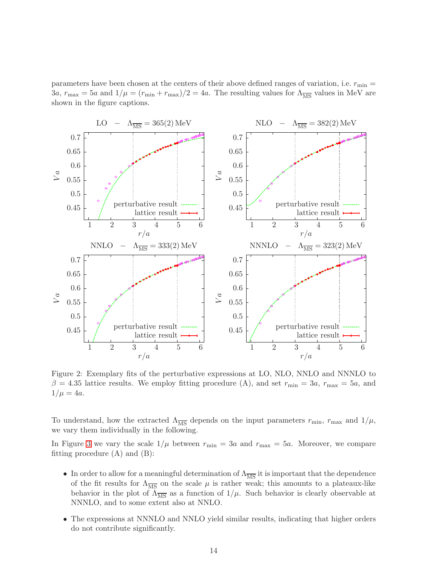parameters have been chosen at the centers of their above defined ranges of variation, i.e.  $r_{\min} =$  $3a$ ,  $r_{\text{max}} = 5a$  and  $1/\mu = (r_{\text{min}} + r_{\text{max}})/2 = 4a$ . The resulting values for  $\Lambda_{\overline{\text{MS}}}$  values in MeV are shown in the figure captions.



<span id="page-14-0"></span>Figure 2: Exemplary fits of the perturbative expressions at LO, NLO, NNLO and NNNLO to  $\beta = 4.35$  lattice results. We employ fitting procedure (A), and set  $r_{\min} = 3a$ ,  $r_{\max} = 5a$ , and  $1/\mu = 4a$ .

To understand, how the extracted  $\Lambda_{\overline{\text{MS}}}$  depends on the input parameters  $r_{\text{min}}$ ,  $r_{\text{max}}$  and  $1/\mu$ , we vary them individually in the following.

In Figure [3](#page-15-0) we vary the scale  $1/\mu$  between  $r_{\min} = 3a$  and  $r_{\max} = 5a$ . Moreover, we compare fitting procedure  $(A)$  and  $(B)$ :

- In order to allow for a meaningful determination of  $\Lambda_{\overline{MS}}$  it is important that the dependence of the fit results for  $\Lambda_{\overline{\text{MS}}}$  on the scale  $\mu$  is rather weak; this amounts to a plateaux-like behavior in the plot of  $\Lambda_{\overline{\rm MS}}$  as a function of  $1/\mu$ . Such behavior is clearly observable at NNNLO, and to some extent also at NNLO.
- The expressions at NNNLO and NNLO yield similar results, indicating that higher orders do not contribute significantly.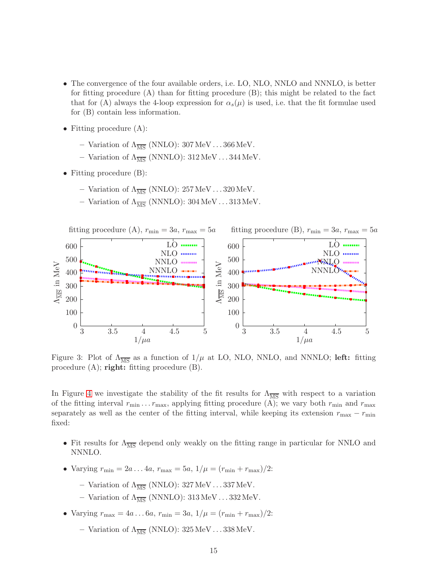- The convergence of the four available orders, i.e. LO, NLO, NNLO and NNNLO, is better for fitting procedure (A) than for fitting procedure (B); this might be related to the fact that for (A) always the 4-loop expression for  $\alpha_s(\mu)$  is used, i.e. that the fit formulae used for (B) contain less information.
- Fitting procedure  $(A)$ :
	- Variation of  $\Lambda_{\overline{\text{MS}}}$  (NNLO): 307 MeV...366 MeV.
	- Variation of  $\Lambda_{\overline{\rm MS}}$  (NNNLO): 312 MeV...344 MeV.
- Fitting procedure (B):
	- Variation of  $\Lambda_{\overline{\text{MS}}}$  (NNLO): 257 MeV...320 MeV.
	- Variation of  $\Lambda_{\overline{\text{MS}}}$  (NNNLO): 304 MeV . . . 313 MeV.



<span id="page-15-0"></span>Figure 3: Plot of  $\Lambda_{\overline{\rm MS}}$  as a function of  $1/\mu$  at LO, NLO, NNLO, and NNNLO; left: fitting procedure  $(A)$ ; right: fitting procedure  $(B)$ .

In Figure [4](#page-16-0) we investigate the stability of the fit results for  $\Lambda_{\overline{MS}}$  with respect to a variation of the fitting interval  $r_{\min} \ldots r_{\max}$ , applying fitting procedure (A); we vary both  $r_{\min}$  and  $r_{\max}$ separately as well as the center of the fitting interval, while keeping its extension  $r_{\text{max}} - r_{\text{min}}$ fixed:

- Fit results for  $\Lambda_{\overline{\text{MS}}}$  depend only weakly on the fitting range in particular for NNLO and NNNLO.
- Varying  $r_{\min} = 2a \dots 4a$ ,  $r_{\max} = 5a$ ,  $1/\mu = (r_{\min} + r_{\max})/2$ :
	- Variation of  $\Lambda_{\overline{\text{MS}}}$  (NNLO): 327 MeV...337 MeV.
	- Variation of  $\Lambda_{\overline{\text{MS}}}$  (NNNLO): 313 MeV . . . 332 MeV.
- Varying  $r_{\text{max}} = 4a \dots 6a$ ,  $r_{\text{min}} = 3a$ ,  $1/\mu = (r_{\text{min}} + r_{\text{max}})/2$ :
	- Variation of  $\Lambda_{\overline{\text{MS}}}$  (NNLO): 325 MeV...338 MeV.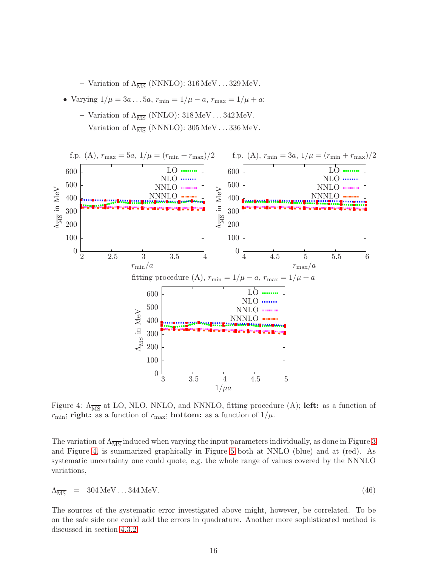– Variation of  $\Lambda_{\overline{\text{MS}}}$  (NNNLO): 316 MeV...329 MeV.

- Varying  $1/\mu = 3a \dots 5a$ ,  $r_{\min} = 1/\mu a$ ,  $r_{\max} = 1/\mu + a$ :
	- Variation of  $\Lambda_{\overline{\text{MS}}}$  (NNLO): 318 MeV...342 MeV.
	- Variation of  $\Lambda_{\overline{\text{MS}}}$  (NNNLO): 305 MeV...336 MeV.



<span id="page-16-0"></span>Figure 4:  $\Lambda_{\overline{\text{MS}}}$  at LO, NLO, NNLO, and NNNLO, fitting procedure (A); left: as a function of  $r_{\text{min}}$ ; right: as a function of  $r_{\text{max}}$ ; bottom: as a function of  $1/\mu$ .

The variation of  $\Lambda_{\overline{\text{MS}}}$  induced when varying the input parameters individually, as done in Figure [3](#page-15-0) and Figure [4,](#page-16-0) is summarized graphically in Figure [5](#page-17-0) both at NNLO (blue) and at (red). As systematic uncertainty one could quote, e.g. the whole range of values covered by the NNNLO variations,

<span id="page-16-1"></span>
$$
\Lambda_{\overline{\rm MS}} = 304 \,\text{MeV} \dots 344 \,\text{MeV} \tag{46}
$$

The sources of the systematic error investigated above might, however, be correlated. To be on the safe side one could add the errors in quadrature. Another more sophisticated method is discussed in section [4.3.2.](#page-17-1)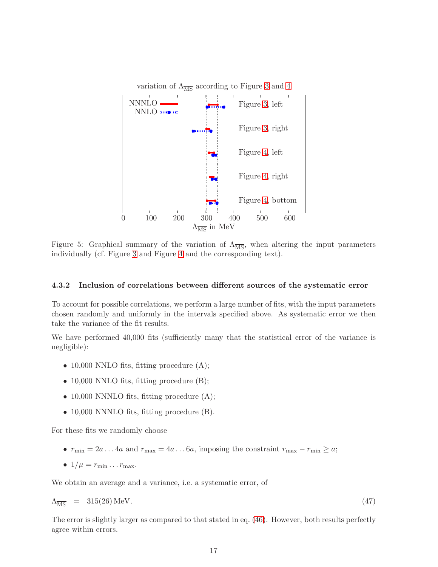

<span id="page-17-0"></span>Figure 5: Graphical summary of the variation of  $\Lambda_{\overline{\text{MS}}}$ , when altering the input parameters individually (cf. Figure [3](#page-15-0) and Figure [4](#page-16-0) and the corresponding text).

#### <span id="page-17-1"></span>4.3.2 Inclusion of correlations between different sources of the systematic error

To account for possible correlations, we perform a large number of fits, with the input parameters chosen randomly and uniformly in the intervals specified above. As systematic error we then take the variance of the fit results.

We have performed 40,000 fits (sufficiently many that the statistical error of the variance is negligible):

- 10,000 NNLO fits, fitting procedure  $(A)$ ;
- 10,000 NNLO fits, fitting procedure (B);
- 10,000 NNNLO fits, fitting procedure  $(A)$ ;
- 10,000 NNNLO fits, fitting procedure (B).

For these fits we randomly choose

- $r_{\min} = 2a \dots 4a$  and  $r_{\max} = 4a \dots 6a$ , imposing the constraint  $r_{\max} r_{\min} \ge a$ ;
- $1/\mu = r_{\min} \ldots r_{\max}$ .

We obtain an average and a variance, i.e. a systematic error, of

$$
\Lambda_{\overline{\rm MS}} = 315(26) \,\text{MeV}.\tag{47}
$$

The error is slightly larger as compared to that stated in eq. [\(46\)](#page-16-1). However, both results perfectly agree within errors.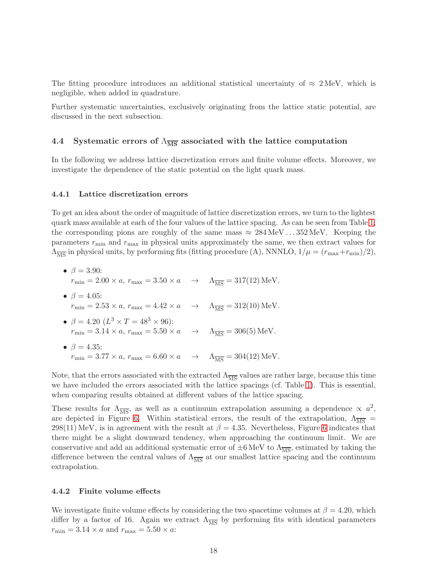The fitting procedure introduces an additional statistical uncertainty of  $\approx 2 \text{ MeV}$ , which is negligible, when added in quadrature.

Further systematic uncertainties, exclusively originating from the lattice static potential, are discussed in the next subsection.

#### 4.4 Systematic errors of  $\Lambda_{\overline{\rm MS}}$  associated with the lattice computation

In the following we address lattice discretization errors and finite volume effects. Moreover, we investigate the dependence of the static potential on the light quark mass.

#### <span id="page-18-0"></span>4.4.1 Lattice discretization errors

To get an idea about the order of magnitude of lattice discretization errors, we turn to the lightest quark mass available at each of the four values of the lattice spacing. As can be seen from Table [1,](#page-3-0) the corresponding pions are roughly of the same mass  $\approx 284 \,\text{MeV}$ . . . 352 MeV. Keeping the parameters  $r_{\text{min}}$  and  $r_{\text{max}}$  in physical units approximately the same, we then extract values for  $\Lambda_{\overline{\rm MS}}$  in physical units, by performing fits (fitting procedure (A), NNNLO,  $1/\mu = (r_{\rm max} + r_{\rm min})/2$ ),

•  $\beta = 3.90$ :  $r_{\text{min}} = 2.00 \times a$ ,  $r_{\text{max}} = 3.50 \times a \rightarrow \Lambda_{\overline{\text{MS}}} = 317(12) \,\text{MeV}.$ •  $\beta = 4.05$ :  $r_{\text{min}} = 2.53 \times a$ ,  $r_{\text{max}} = 4.42 \times a \rightarrow \Lambda_{\overline{\text{MS}}} = 312(10) \,\text{MeV}.$ •  $\beta = 4.20 \; (L^3 \times T = 48^3 \times 96)$ :  $r_{\text{min}} = 3.14 \times a$ ,  $r_{\text{max}} = 5.50 \times a \rightarrow \Lambda_{\overline{\text{MS}}} = 306(5) \text{ MeV}.$ •  $\beta = 4.35$ :  $r_{\text{min}} = 3.77 \times a$ ,  $r_{\text{max}} = 6.60 \times a \rightarrow \Lambda_{\overline{\text{MS}}} = 304(12) \,\text{MeV}.$ 

Note, that the errors associated with the extracted  $\Lambda_{\overline{MS}}$  values are rather large, because this time we have included the errors associated with the lattice spacings (cf. Table [1\)](#page-3-0). This is essential, when comparing results obtained at different values of the lattice spacing.

These results for  $\Lambda_{\overline{\text{MS}}}$ , as well as a continuum extrapolation assuming a dependence  $\propto a^2$ , are depicted in Figure [6.](#page-19-0) Within statistical errors, the result of the extrapolation,  $\Lambda_{\overline{MS}} =$ 298(11) MeV, is in agreement with the result at  $\beta = 4.35$ . Nevertheless, Figure [6](#page-19-0) indicates that there might be a slight downward tendency, when approaching the continuum limit. We are conservative and add an additional systematic error of  $\pm 6$  MeV to  $\Lambda_{\overline{\rm MS}}$ , estimated by taking the difference between the central values of  $\Lambda_{\overline{\text{MS}}}$  at our smallest lattice spacing and the continuum extrapolation.

#### 4.4.2 Finite volume effects

We investigate finite volume effects by considering the two spacetime volumes at  $\beta = 4.20$ , which differ by a factor of 16. Again we extract  $\Lambda_{\overline{\rm MS}}$  by performing fits with identical parameters  $r_{\min} = 3.14 \times a$  and  $r_{\max} = 5.50 \times a$ :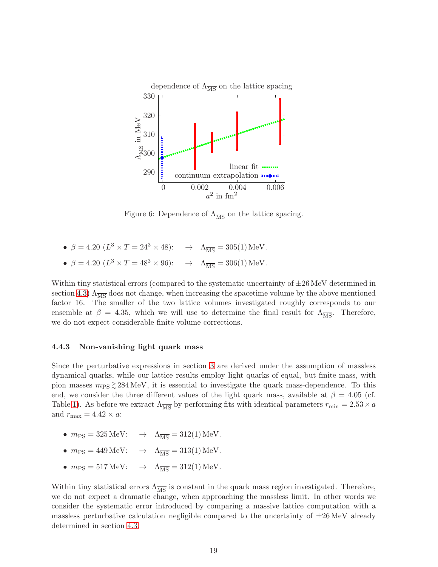

<span id="page-19-0"></span>Figure 6: Dependence of  $\Lambda_{\overline{\text{MS}}}$  on the lattice spacing.

•  $\beta = 4.20 \ (L^3 \times T = 24^3 \times 48):$   $\rightarrow \ \Lambda_{\overline{\text{MS}}} = 305(1) \text{ MeV}.$ •  $\beta = 4.20 \ (L^3 \times T = 48^3 \times 96):$   $\rightarrow \ \Lambda_{\overline{\text{MS}}} = 306(1) \,\text{MeV}.$ 

Within tiny statistical errors (compared to the systematic uncertainty of  $\pm 26$  MeV determined in section [4.3\)](#page-13-0)  $\Lambda_{\overline{\rm MS}}$  does not change, when increasing the spacetime volume by the above mentioned factor 16. The smaller of the two lattice volumes investigated roughly corresponds to our ensemble at  $\beta = 4.35$ , which we will use to determine the final result for  $\Lambda_{\overline{\text{MS}}}$ . Therefore, we do not expect considerable finite volume corrections.

#### 4.4.3 Non-vanishing light quark mass

Since the perturbative expressions in section [3](#page-6-0) are derived under the assumption of massless dynamical quarks, while our lattice results employ light quarks of equal, but finite mass, with pion masses  $m_{PS} \gtrsim 284 \text{ MeV}$ , it is essential to investigate the quark mass-dependence. To this end, we consider the three different values of the light quark mass, available at  $\beta = 4.05$  (cf. Table [1\)](#page-3-0). As before we extract  $\Lambda_{\overline{\text{MS}}}$  by performing fits with identical parameters  $r_{\text{min}} = 2.53 \times a$ and  $r_{\text{max}} = 4.42 \times a$ :

- $m_{\text{PS}} = 325 \,\text{MeV}$ :  $\rightarrow \Lambda_{\overline{\text{MS}}} = 312(1) \,\text{MeV}$ .
- $m_{\text{PS}} = 449 \,\text{MeV}$ :  $\rightarrow \Lambda_{\overline{\text{MS}}} = 313(1) \,\text{MeV}$ .
- $m_{\text{PS}} = 517 \,\text{MeV}$ :  $\rightarrow \Lambda_{\overline{\text{MS}}} = 312(1) \,\text{MeV}$ .

Within tiny statistical errors  $\Lambda_{\overline{\rm MS}}$  is constant in the quark mass region investigated. Therefore, we do not expect a dramatic change, when approaching the massless limit. In other words we consider the systematic error introduced by comparing a massive lattice computation with a massless perturbative calculation negligible compared to the uncertainty of  $\pm 26 \,\text{MeV}$  already determined in section [4.3.](#page-13-0)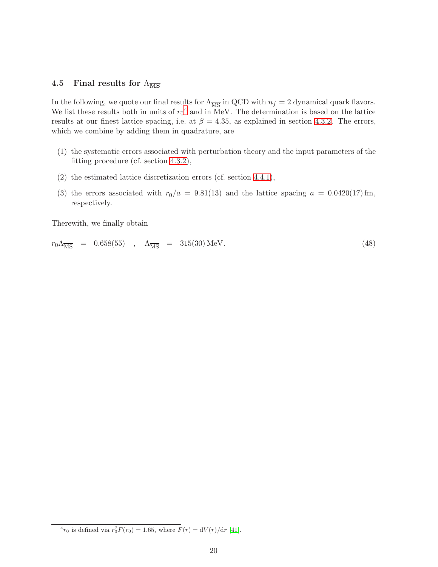#### 4.5 Final results for  $\Lambda_{\overline{\text{MS}}}$

In the following, we quote our final results for  $\Lambda_{\overline{MS}}$  in QCD with  $n_f = 2$  dynamical quark flavors. We list these results both in units of  $r_0^4$  $r_0^4$  and in MeV. The determination is based on the lattice results at our finest lattice spacing, i.e. at  $\beta = 4.35$ , as explained in section [4.3.2.](#page-17-1) The errors, which we combine by adding them in quadrature, are

- (1) the systematic errors associated with perturbation theory and the input parameters of the fitting procedure (cf. section [4.3.2\)](#page-17-1),
- (2) the estimated lattice discretization errors (cf. section [4.4.1\)](#page-18-0),
- (3) the errors associated with  $r_0/a = 9.81(13)$  and the lattice spacing  $a = 0.0420(17)$  fm, respectively.

Therewith, we finally obtain

<span id="page-20-0"></span>
$$
r_0 \Lambda_{\overline{\rm MS}} = 0.658(55) , \quad \Lambda_{\overline{\rm MS}} = 315(30) \,\text{MeV}.
$$
 (48)

<span id="page-20-1"></span> ${}^{4}r_{0}$  is defined via  $r_{0}^{2}F(r_{0}) = 1.65$ , where  $F(r) = dV(r)/dr$  [\[41\]](#page-26-13).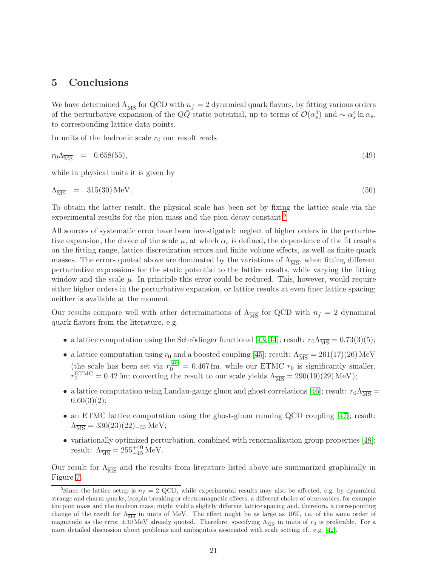# <span id="page-21-0"></span>5 Conclusions

We have determined  $\Lambda_{\overline{MS}}$  for QCD with  $n_f = 2$  dynamical quark flavors, by fitting various orders of the perturbative expansion of the  $Q\overline{Q}$  static potential, up to terms of  $\mathcal{O}(\alpha_s^4)$  and  $\sim \alpha_s^4 \ln \alpha_s$ , to corresponding lattice data points.

In units of the hadronic scale  $r_0$  our result reads

$$
r_0 \Lambda_{\overline{\rm MS}} = 0.658(55), \tag{49}
$$

while in physical units it is given by

<span id="page-21-2"></span>
$$
\Lambda_{\overline{\rm MS}} = 315(30) \,\text{MeV}.\tag{50}
$$

To obtain the latter result, the physical scale has been set by fixing the lattice scale via the experimental results for the pion mass and the pion decay constant.<sup>[5](#page-21-1)</sup>

All sources of systematic error have been investigated: neglect of higher orders in the perturbative expansion, the choice of the scale  $\mu$ , at which  $\alpha_s$  is defined, the dependence of the fit results on the fitting range, lattice discretization errors and finite volume effects, as well as finite quark masses. The errors quoted above are dominated by the variations of  $\Lambda_{\overline{\rm MS}}$ , when fitting different perturbative expressions for the static potential to the lattice results, while varying the fitting window and the scale  $\mu$ . In principle this error could be reduced. This, however, would require either higher orders in the perturbative expansion, or lattice results at even finer lattice spacing; neither is available at the moment.

Our results compare well with other determinations of  $\Lambda_{\overline{MS}}$  for QCD with  $n_f = 2$  dynamical quark flavors from the literature, e.g.

- a lattice computation using the Schrödinger functional [\[43,](#page-26-14) [44\]](#page-26-15); result:  $r_0\Lambda_{\overline{\rm MS}} = 0.73(3)(5);$
- a lattice computation using  $r_0$  and a boosted coupling [\[45\]](#page-27-0); result:  $\Lambda_{\overline{\rm MS}} = 261(17)(26)$  MeV (the scale has been set via  $r_0^{[45]} = 0.467$  $r_0^{[45]} = 0.467$  $r_0^{[45]} = 0.467$  fm, while our ETMC  $r_0$  is significantly smaller,  $r_0^{\text{ETMC}} = 0.42 \,\text{fm}$ ; converting the result to our scale yields  $\Lambda_{\overline{\text{MS}}} = 290(19)(29) \,\text{MeV}$ );
- a lattice computation using Landau-gauge gluon and ghost correlations [\[46\]](#page-27-1); result:  $r_0\Lambda_{\overline{\rm MS}} =$  $0.60(3)(2);$
- an ETMC lattice computation using the ghost-gluon running QCD coupling [\[47\]](#page-27-2); result:  $\Lambda_{\overline{\rm MS}} = 330(23)(22)_{-33}$  MeV;
- variationally optimized perturbation, combined with renormalization group properties [\[48\]](#page-27-3); result:  $\Lambda_{\overline{\text{MS}}} = 255^{+40}_{-15} \text{ MeV}.$

Our result for  $\Lambda_{\overline{MS}}$  and the results from literature listed above are summarized graphically in Figure [7.](#page-22-0)

<span id="page-21-1"></span><sup>&</sup>lt;sup>5</sup>Since the lattice setup is  $n_f = 2$  QCD, while experimental results may also be affected, e.g. by dynamical strange and charm quarks, isospin breaking or electromagnetic effects, a different choice of observables, for example the pion mass and the nucleon mass, might yield a slightly different lattice spacing and, therefore, a corresponding change of the result for  $\Lambda_{\overline{\text{MS}}}$  in units of MeV. The effect might be as large as 10%, i.e. of the same order of magnitude as the error  $\pm 30$  MeV already quoted. Therefore, specifying  $\Lambda_{\overline{\rm MS}}$  in units of  $r_0$  is preferable. For a more detailed discussion about problems and ambiguities associated with scale setting cf., e.g. [\[42\]](#page-26-16).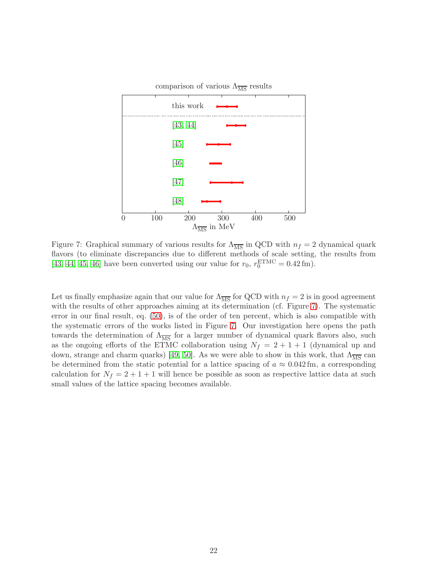

<span id="page-22-0"></span>Figure 7: Graphical summary of various results for  $\Lambda_{\overline{MS}}$  in QCD with  $n_f = 2$  dynamical quark flavors (to eliminate discrepancies due to different methods of scale setting, the results from [\[43,](#page-26-14) [44,](#page-26-15) [45,](#page-27-0) [46\]](#page-27-1) have been converted using our value for  $r_0$ ,  $r_0^{\text{ETMC}} = 0.42 \text{ fm}$ ).

Let us finally emphasize again that our value for  $\Lambda_{\overline{MS}}$  for QCD with  $n_f = 2$  is in good agreement with the results of other approaches aiming at its determination (cf. Figure [7\)](#page-22-0). The systematic error in our final result, eq. [\(50\)](#page-21-2), is of the order of ten percent, which is also compatible with the systematic errors of the works listed in Figure [7.](#page-22-0) Our investigation here opens the path towards the determination of  $\Lambda_{\overline{\text{MS}}}$  for a larger number of dynamical quark flavors also, such as the ongoing efforts of the ETMC collaboration using  $N_f = 2 + 1 + 1$  (dynamical up and down, strange and charm quarks) [\[49,](#page-27-4) [50\]](#page-27-5). As we were able to show in this work, that  $\Lambda_{\overline{MS}}$  can be determined from the static potential for a lattice spacing of  $a \approx 0.042$  fm, a corresponding calculation for  $N_f = 2 + 1 + 1$  will hence be possible as soon as respective lattice data at such small values of the lattice spacing becomes available.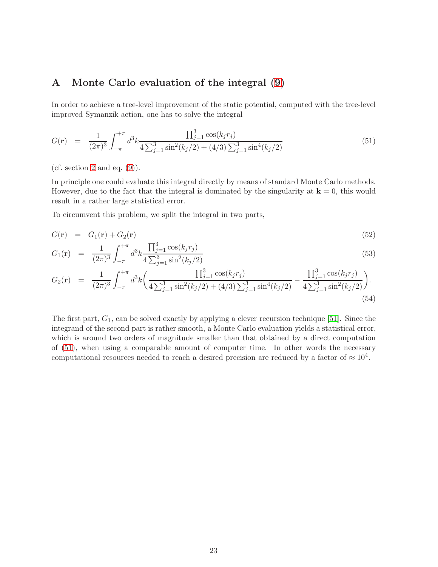# <span id="page-23-0"></span>A Monte Carlo evaluation of the integral [\(9\)](#page-4-0)

In order to achieve a tree-level improvement of the static potential, computed with the tree-level improved Symanzik action, one has to solve the integral

<span id="page-23-1"></span>
$$
G(\mathbf{r}) = \frac{1}{(2\pi)^3} \int_{-\pi}^{+\pi} d^3k \frac{\prod_{j=1}^3 \cos(k_j r_j)}{4\sum_{j=1}^3 \sin^2(k_j/2) + (4/3)\sum_{j=1}^3 \sin^4(k_j/2)}
$$
(51)

(cf. section [2](#page-2-0) and eq.  $(9)$ ).

In principle one could evaluate this integral directly by means of standard Monte Carlo methods. However, due to the fact that the integral is dominated by the singularity at  $\mathbf{k} = 0$ , this would result in a rather large statistical error.

To circumvent this problem, we split the integral in two parts,

$$
G(\mathbf{r}) = G_1(\mathbf{r}) + G_2(\mathbf{r}) \tag{52}
$$

$$
G_1(\mathbf{r}) = \frac{1}{(2\pi)^3} \int_{-\pi}^{+\pi} d^3k \frac{\prod_{j=1}^3 \cos(k_j r_j)}{4\sum_{j=1}^3 \sin^2(k_j/2)}\tag{53}
$$

$$
G_2(\mathbf{r}) = \frac{1}{(2\pi)^3} \int_{-\pi}^{+\pi} d^3k \left( \frac{\prod_{j=1}^3 \cos(k_j r_j)}{4 \sum_{j=1}^3 \sin^2(k_j/2) + (4/3) \sum_{j=1}^3 \sin^4(k_j/2)} - \frac{\prod_{j=1}^3 \cos(k_j r_j)}{4 \sum_{j=1}^3 \sin^2(k_j/2)} \right). \tag{54}
$$

The first part,  $G_1$ , can be solved exactly by applying a clever recursion technique [\[51\]](#page-27-6). Since the integrand of the second part is rather smooth, a Monte Carlo evaluation yields a statistical error, which is around two orders of magnitude smaller than that obtained by a direct computation of [\(51\)](#page-23-1), when using a comparable amount of computer time. In other words the necessary computational resources needed to reach a desired precision are reduced by a factor of  $\approx 10^4$ .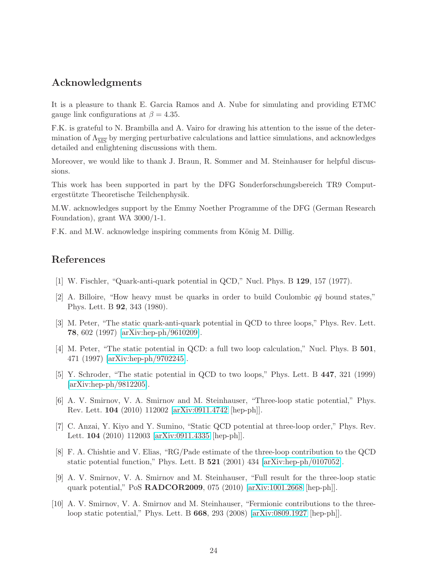## Acknowledgments

It is a pleasure to thank E. Garcia Ramos and A. Nube for simulating and providing ETMC gauge link configurations at  $\beta = 4.35$ .

F.K. is grateful to N. Brambilla and A. Vairo for drawing his attention to the issue of the determination of  $\Lambda_{\overline{\rm MS}}$  by merging perturbative calculations and lattice simulations, and acknowledges detailed and enlightening discussions with them.

Moreover, we would like to thank J. Braun, R. Sommer and M. Steinhauser for helpful discussions.

This work has been supported in part by the DFG Sonderforschungsbereich TR9 Computergestützte Theoretische Teilchenphysik.

M.W. acknowledges support by the Emmy Noether Programme of the DFG (German Research Foundation), grant WA 3000/1-1.

F.K. and M.W. acknowledge inspiring comments from König M. Dillig.

# <span id="page-24-0"></span>References

- <span id="page-24-1"></span>[1] W. Fischler, "Quark-anti-quark potential in QCD," Nucl. Phys. B 129, 157 (1977).
- [2] A. Billoire, "How heavy must be quarks in order to build Coulombic  $q\bar{q}$  bound states," Phys. Lett. B 92, 343 (1980).
- <span id="page-24-2"></span>[3] M. Peter, "The static quark-anti-quark potential in QCD to three loops," Phys. Rev. Lett. 78, 602 (1997) [\[arXiv:hep-ph/9610209\]](http://arxiv.org/abs/hep-ph/9610209).
- <span id="page-24-3"></span>[4] M. Peter, "The static potential in QCD: a full two loop calculation," Nucl. Phys. B 501, 471 (1997) [\[arXiv:hep-ph/9702245\]](http://arxiv.org/abs/hep-ph/9702245).
- <span id="page-24-4"></span>[5] Y. Schroder, "The static potential in QCD to two loops," Phys. Lett. B 447, 321 (1999) [\[arXiv:hep-ph/9812205\]](http://arxiv.org/abs/hep-ph/9812205).
- <span id="page-24-5"></span>[6] A. V. Smirnov, V. A. Smirnov and M. Steinhauser, "Three-loop static potential," Phys. Rev. Lett. 104 (2010) 112002 [\[arXiv:0911.4742](http://arxiv.org/abs/0911.4742) [hep-ph]].
- <span id="page-24-6"></span>[7] C. Anzai, Y. Kiyo and Y. Sumino, "Static QCD potential at three-loop order," Phys. Rev. Lett. 104 (2010) 112003 [\[arXiv:0911.4335](http://arxiv.org/abs/0911.4335) [hep-ph]].
- <span id="page-24-7"></span>[8] F. A. Chishtie and V. Elias, "RG/Pade estimate of the three-loop contribution to the QCD static potential function," Phys. Lett. B 521 (2001) 434 [\[arXiv:hep-ph/0107052\]](http://arxiv.org/abs/hep-ph/0107052).
- <span id="page-24-8"></span>[9] A. V. Smirnov, V. A. Smirnov and M. Steinhauser, "Full result for the three-loop static quark potential," PoS RADCOR2009, 075 (2010) [\[arXiv:1001.2668](http://arxiv.org/abs/1001.2668) [hep-ph]].
- <span id="page-24-9"></span>[10] A. V. Smirnov, V. A. Smirnov and M. Steinhauser, "Fermionic contributions to the threeloop static potential," Phys. Lett. B 668, 293 (2008) [\[arXiv:0809.1927](http://arxiv.org/abs/0809.1927) [hep-ph]].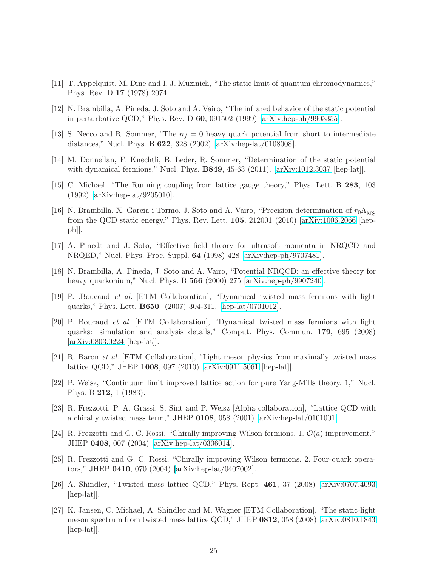- <span id="page-25-1"></span><span id="page-25-0"></span>[11] T. Appelquist, M. Dine and I. J. Muzinich, "The static limit of quantum chromodynamics," Phys. Rev. D 17 (1978) 2074.
- <span id="page-25-2"></span>[12] N. Brambilla, A. Pineda, J. Soto and A. Vairo, "The infrared behavior of the static potential in perturbative QCD," Phys. Rev. D 60, 091502 (1999) [\[arXiv:hep-ph/9903355\]](http://arxiv.org/abs/hep-ph/9903355).
- <span id="page-25-3"></span>[13] S. Necco and R. Sommer, "The  $n_f = 0$  heavy quark potential from short to intermediate distances," Nucl. Phys. B 622, 328 (2002) [\[arXiv:hep-lat/0108008\]](http://arxiv.org/abs/hep-lat/0108008).
- <span id="page-25-4"></span>[14] M. Donnellan, F. Knechtli, B. Leder, R. Sommer, "Determination of the static potential with dynamical fermions," Nucl. Phys. B849, 45-63 (2011). [\[arXiv:1012.3037](http://arxiv.org/abs/1012.3037) [hep-lat]].
- <span id="page-25-5"></span>[15] C. Michael, "The Running coupling from lattice gauge theory," Phys. Lett. B 283, 103 (1992) [\[arXiv:hep-lat/9205010\]](http://arxiv.org/abs/hep-lat/9205010).
- [16] N. Brambilla, X. Garcia i Tormo, J. Soto and A. Vairo, "Precision determination of  $r_0\Lambda_{\overline{MS}}$ from the QCD static energy," Phys. Rev. Lett. 105, 212001 (2010) [\[arXiv:1006.2066](http://arxiv.org/abs/1006.2066) [hep $ph$ .
- <span id="page-25-6"></span>[17] A. Pineda and J. Soto, "Effective field theory for ultrasoft momenta in NRQCD and NRQED," Nucl. Phys. Proc. Suppl. 64 (1998) 428 [\[arXiv:hep-ph/9707481\]](http://arxiv.org/abs/hep-ph/9707481).
- <span id="page-25-8"></span><span id="page-25-7"></span>[18] N. Brambilla, A. Pineda, J. Soto and A. Vairo, "Potential NRQCD: an effective theory for heavy quarkonium," Nucl. Phys. B **566** (2000) 275 [\[arXiv:hep-ph/9907240\]](http://arxiv.org/abs/hep-ph/9907240).
- [19] P. .Boucaud et al. [ETM Collaboration], "Dynamical twisted mass fermions with light quarks," Phys. Lett. B650 (2007) 304-311. [\[hep-lat/0701012\]](http://arxiv.org/abs/hep-lat/0701012).
- <span id="page-25-9"></span>[20] P. Boucaud et al. [ETM Collaboration], "Dynamical twisted mass fermions with light quarks: simulation and analysis details," Comput. Phys. Commun. 179, 695 (2008) [\[arXiv:0803.0224](http://arxiv.org/abs/0803.0224) [hep-lat]].
- <span id="page-25-10"></span>[21] R. Baron et al. [ETM Collaboration], "Light meson physics from maximally twisted mass lattice QCD," JHEP 1008, 097 (2010) [\[arXiv:0911.5061](http://arxiv.org/abs/0911.5061) [hep-lat]].
- <span id="page-25-11"></span>[22] P. Weisz, "Continuum limit improved lattice action for pure Yang-Mills theory. 1," Nucl. Phys. B 212, 1 (1983).
- <span id="page-25-12"></span>[23] R. Frezzotti, P. A. Grassi, S. Sint and P. Weisz [Alpha collaboration], "Lattice QCD with a chirally twisted mass term," JHEP 0108, 058 (2001) [\[arXiv:hep-lat/0101001\]](http://arxiv.org/abs/hep-lat/0101001).
- <span id="page-25-13"></span>[24] R. Frezzotti and G. C. Rossi, "Chirally improving Wilson fermions. 1.  $\mathcal{O}(a)$  improvement," JHEP 0408, 007 (2004) [\[arXiv:hep-lat/0306014\]](http://arxiv.org/abs/hep-lat/0306014).
- <span id="page-25-14"></span>[25] R. Frezzotti and G. C. Rossi, "Chirally improving Wilson fermions. 2. Four-quark operators," JHEP 0410, 070 (2004) [\[arXiv:hep-lat/0407002\]](http://arxiv.org/abs/hep-lat/0407002).
- <span id="page-25-15"></span>[26] A. Shindler, "Twisted mass lattice QCD," Phys. Rept. 461, 37 (2008) [\[arXiv:0707.4093](http://arxiv.org/abs/0707.4093) [hep-lat]].
- <span id="page-25-16"></span>[27] K. Jansen, C. Michael, A. Shindler and M. Wagner [ETM Collaboration], "The static-light meson spectrum from twisted mass lattice QCD," JHEP 0812, 058 (2008) [\[arXiv:0810.1843](http://arxiv.org/abs/0810.1843) [hep-lat]].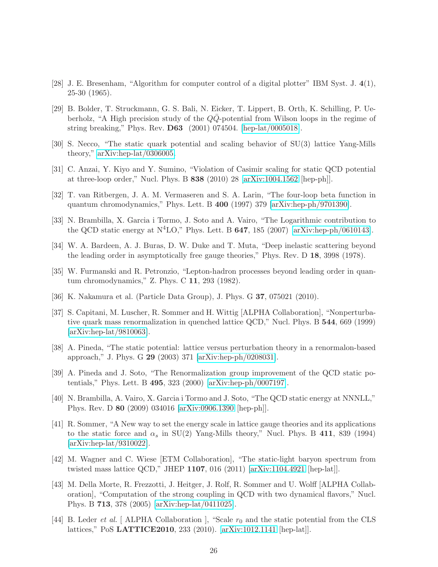- <span id="page-26-1"></span><span id="page-26-0"></span>[28] J. E. Bresenham, "Algorithm for computer control of a digital plotter" IBM Syst. J. 4(1), 25-30 (1965).
- [29] B. Bolder, T. Struckmann, G. S. Bali, N. Eicker, T. Lippert, B. Orth, K. Schilling, P. Ueberholz, "A High precision study of the  $Q\overline{Q}$ -potential from Wilson loops in the regime of string breaking," Phys. Rev. D63 (2001) 074504. [\[hep-lat/0005018\]](http://arxiv.org/abs/hep-lat/0005018).
- <span id="page-26-3"></span><span id="page-26-2"></span>[30] S. Necco, "The static quark potential and scaling behavior of SU(3) lattice Yang-Mills theory," [arXiv:hep-lat/0306005.](http://arxiv.org/abs/hep-lat/0306005)
- <span id="page-26-4"></span>[31] C. Anzai, Y. Kiyo and Y. Sumino, "Violation of Casimir scaling for static QCD potential at three-loop order," Nucl. Phys. B 838 (2010) 28 [\[arXiv:1004.1562](http://arxiv.org/abs/1004.1562) [hep-ph]].
- <span id="page-26-5"></span>[32] T. van Ritbergen, J. A. M. Vermaseren and S. A. Larin, "The four-loop beta function in quantum chromodynamics," Phys. Lett. B 400 (1997) 379 [\[arXiv:hep-ph/9701390\]](http://arxiv.org/abs/hep-ph/9701390).
- <span id="page-26-6"></span>[33] N. Brambilla, X. Garcia i Tormo, J. Soto and A. Vairo, "The Logarithmic contribution to the QCD static energy at  $N^4LO$ ," Phys. Lett. B 647, 185 (2007) [\[arXiv:hep-ph/0610143\]](http://arxiv.org/abs/hep-ph/0610143).
- [34] W. A. Bardeen, A. J. Buras, D. W. Duke and T. Muta, "Deep inelastic scattering beyond the leading order in asymptotically free gauge theories," Phys. Rev. D 18, 3998 (1978).
- <span id="page-26-8"></span><span id="page-26-7"></span>[35] W. Furmanski and R. Petronzio, "Lepton-hadron processes beyond leading order in quantum chromodynamics," Z. Phys. C 11, 293 (1982).
- <span id="page-26-9"></span>[36] K. Nakamura et al. (Particle Data Group), J. Phys. G 37, 075021 (2010).
- [37] S. Capitani, M. Luscher, R. Sommer and H. Wittig [ALPHA Collaboration], "Nonperturbative quark mass renormalization in quenched lattice QCD," Nucl. Phys. B 544, 669 (1999) [\[arXiv:hep-lat/9810063\]](http://arxiv.org/abs/hep-lat/9810063).
- <span id="page-26-10"></span>[38] A. Pineda, "The static potential: lattice versus perturbation theory in a renormalon-based approach," J. Phys. G 29 (2003) 371 [\[arXiv:hep-ph/0208031\]](http://arxiv.org/abs/hep-ph/0208031).
- <span id="page-26-11"></span>[39] A. Pineda and J. Soto, "The Renormalization group improvement of the QCD static potentials," Phys. Lett. B 495, 323 (2000) [\[arXiv:hep-ph/0007197\]](http://arxiv.org/abs/hep-ph/0007197).
- <span id="page-26-12"></span>[40] N. Brambilla, A. Vairo, X. Garcia i Tormo and J. Soto, "The QCD static energy at NNNLL," Phys. Rev. D 80 (2009) 034016 [\[arXiv:0906.1390](http://arxiv.org/abs/0906.1390) [hep-ph]].
- <span id="page-26-13"></span>[41] R. Sommer, "A New way to set the energy scale in lattice gauge theories and its applications to the static force and  $\alpha_s$  in SU(2) Yang-Mills theory," Nucl. Phys. B 411, 839 (1994) [\[arXiv:hep-lat/9310022\]](http://arxiv.org/abs/hep-lat/9310022).
- <span id="page-26-16"></span>[42] M. Wagner and C. Wiese [ETM Collaboration], "The static-light baryon spectrum from twisted mass lattice QCD," JHEP 1107, 016 (2011) [\[arXiv:1104.4921](http://arxiv.org/abs/1104.4921) [hep-lat]].
- <span id="page-26-14"></span>[43] M. Della Morte, R. Frezzotti, J. Heitger, J. Rolf, R. Sommer and U. Wolff [ALPHA Collaboration], "Computation of the strong coupling in QCD with two dynamical flavors," Nucl. Phys. B 713, 378 (2005) [\[arXiv:hep-lat/0411025\]](http://arxiv.org/abs/hep-lat/0411025).
- <span id="page-26-15"></span>[44] B. Leder *et al.* [ALPHA Collaboration ], "Scale  $r_0$  and the static potential from the CLS lattices," PoS LATTICE2010, 233 (2010). [\[arXiv:1012.1141](http://arxiv.org/abs/1012.1141) [hep-lat]].